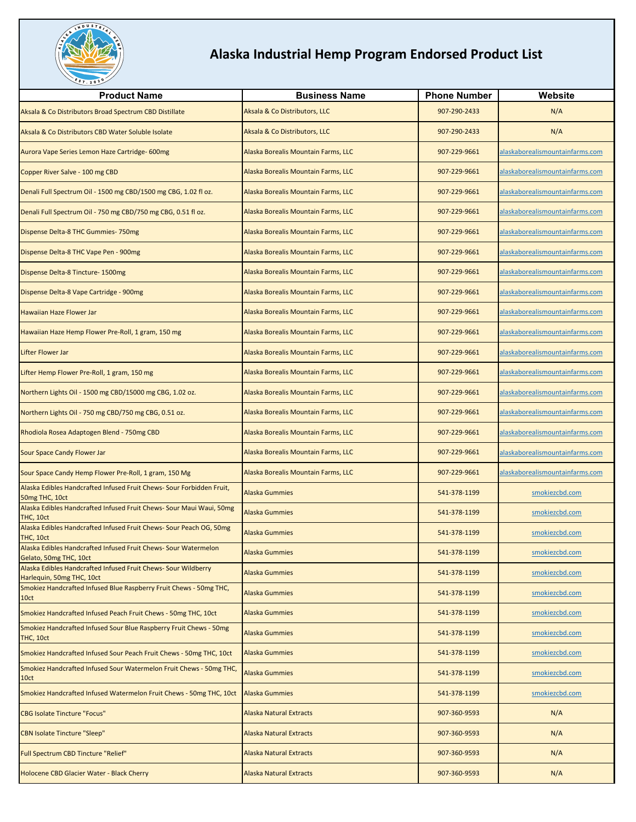

| <b>Product Name</b>                                                                         | <b>Business Name</b>                | <b>Phone Number</b> | Website                         |
|---------------------------------------------------------------------------------------------|-------------------------------------|---------------------|---------------------------------|
| Aksala & Co Distributors Broad Spectrum CBD Distillate                                      | Aksala & Co Distributors, LLC       | 907-290-2433        | N/A                             |
| Aksala & Co Distributors CBD Water Soluble Isolate                                          | Aksala & Co Distributors, LLC       | 907-290-2433        | N/A                             |
| Aurora Vape Series Lemon Haze Cartridge- 600mg                                              | Alaska Borealis Mountain Farms, LLC | 907-229-9661        | alaskaborealismountainfarms.com |
| Copper River Salve - 100 mg CBD                                                             | Alaska Borealis Mountain Farms, LLC | 907-229-9661        | alaskaborealismountainfarms.com |
| Denali Full Spectrum Oil - 1500 mg CBD/1500 mg CBG, 1.02 fl oz.                             | Alaska Borealis Mountain Farms, LLC | 907-229-9661        | alaskaborealismountainfarms.com |
| Denali Full Spectrum Oil - 750 mg CBD/750 mg CBG, 0.51 fl oz.                               | Alaska Borealis Mountain Farms, LLC | 907-229-9661        | alaskaborealismountainfarms.com |
| Dispense Delta-8 THC Gummies-750mg                                                          | Alaska Borealis Mountain Farms, LLC | 907-229-9661        | alaskaborealismountainfarms.com |
| Dispense Delta-8 THC Vape Pen - 900mg                                                       | Alaska Borealis Mountain Farms, LLC | 907-229-9661        | alaskaborealismountainfarms.com |
| Dispense Delta-8 Tincture- 1500mg                                                           | Alaska Borealis Mountain Farms, LLC | 907-229-9661        | alaskaborealismountainfarms.com |
| Dispense Delta-8 Vape Cartridge - 900mg                                                     | Alaska Borealis Mountain Farms, LLC | 907-229-9661        | alaskaborealismountainfarms.com |
| <b>Hawaiian Haze Flower Jar</b>                                                             | Alaska Borealis Mountain Farms, LLC | 907-229-9661        | alaskaborealismountainfarms.com |
| Hawaiian Haze Hemp Flower Pre-Roll, 1 gram, 150 mg                                          | Alaska Borealis Mountain Farms, LLC | 907-229-9661        | alaskaborealismountainfarms.com |
| Lifter Flower Jar                                                                           | Alaska Borealis Mountain Farms, LLC | 907-229-9661        | alaskaborealismountainfarms.com |
| Lifter Hemp Flower Pre-Roll, 1 gram, 150 mg                                                 | Alaska Borealis Mountain Farms, LLC | 907-229-9661        | alaskaborealismountainfarms.com |
| Northern Lights Oil - 1500 mg CBD/15000 mg CBG, 1.02 oz.                                    | Alaska Borealis Mountain Farms, LLC | 907-229-9661        | alaskaborealismountainfarms.com |
| Northern Lights Oil - 750 mg CBD/750 mg CBG, 0.51 oz.                                       | Alaska Borealis Mountain Farms, LLC | 907-229-9661        | alaskaborealismountainfarms.com |
| Rhodiola Rosea Adaptogen Blend - 750mg CBD                                                  | Alaska Borealis Mountain Farms, LLC | 907-229-9661        | alaskaborealismountainfarms.com |
| Sour Space Candy Flower Jar                                                                 | Alaska Borealis Mountain Farms, LLC | 907-229-9661        | alaskaborealismountainfarms.com |
| Sour Space Candy Hemp Flower Pre-Roll, 1 gram, 150 Mg                                       | Alaska Borealis Mountain Farms, LLC | 907-229-9661        | alaskaborealismountainfarms.com |
| Alaska Edibles Handcrafted Infused Fruit Chews- Sour Forbidden Fruit,<br>50mg THC, 10ct     | <b>Alaska Gummies</b>               | 541-378-1199        | smokiezcbd.com                  |
| Alaska Edibles Handcrafted Infused Fruit Chews- Sour Maui Waui, 50mg<br>THC, 10ct           | <b>Alaska Gummies</b>               | 541-378-1199        | smokiezcbd.com                  |
| Alaska Edibles Handcrafted Infused Fruit Chews- Sour Peach OG, 50mg<br>THC, 10ct            | <b>Alaska Gummies</b>               | 541-378-1199        | smokiezcbd.com                  |
| Alaska Edibles Handcrafted Infused Fruit Chews- Sour Watermelon<br>Gelato, 50mg THC, 10ct   | <b>Alaska Gummies</b>               | 541-378-1199        | smokiezcbd.com                  |
| Alaska Edibles Handcrafted Infused Fruit Chews- Sour Wildberry<br>Harlequin, 50mg THC, 10ct | <b>Alaska Gummies</b>               | 541-378-1199        | smokiezcbd.com                  |
| Smokiez Handcrafted Infused Blue Raspberry Fruit Chews - 50mg THC,<br>10ct                  | <b>Alaska Gummies</b>               | 541-378-1199        | smokiezcbd.com                  |
| Smokiez Handcrafted Infused Peach Fruit Chews - 50mg THC, 10ct                              | <b>Alaska Gummies</b>               | 541-378-1199        | smokiezcbd.com                  |
| Smokiez Handcrafted Infused Sour Blue Raspberry Fruit Chews - 50mg<br>THC, 10ct             | <b>Alaska Gummies</b>               | 541-378-1199        | smokiezcbd.com                  |
| Smokiez Handcrafted Infused Sour Peach Fruit Chews - 50mg THC, 10ct                         | <b>Alaska Gummies</b>               | 541-378-1199        | smokiezcbd.com                  |
| Smokiez Handcrafted Infused Sour Watermelon Fruit Chews - 50mg THC,<br>10ct                 | <b>Alaska Gummies</b>               | 541-378-1199        | smokiezcbd.com                  |
| Smokiez Handcrafted Infused Watermelon Fruit Chews - 50mg THC, 10ct                         | <b>Alaska Gummies</b>               | 541-378-1199        | smokiezcbd.com                  |
| <b>CBG Isolate Tincture "Focus"</b>                                                         | <b>Alaska Natural Extracts</b>      | 907-360-9593        | N/A                             |
| <b>CBN Isolate Tincture "Sleep"</b>                                                         | <b>Alaska Natural Extracts</b>      | 907-360-9593        | N/A                             |
| Full Spectrum CBD Tincture "Relief"                                                         | <b>Alaska Natural Extracts</b>      | 907-360-9593        | N/A                             |
| Holocene CBD Glacier Water - Black Cherry                                                   | <b>Alaska Natural Extracts</b>      | 907-360-9593        | N/A                             |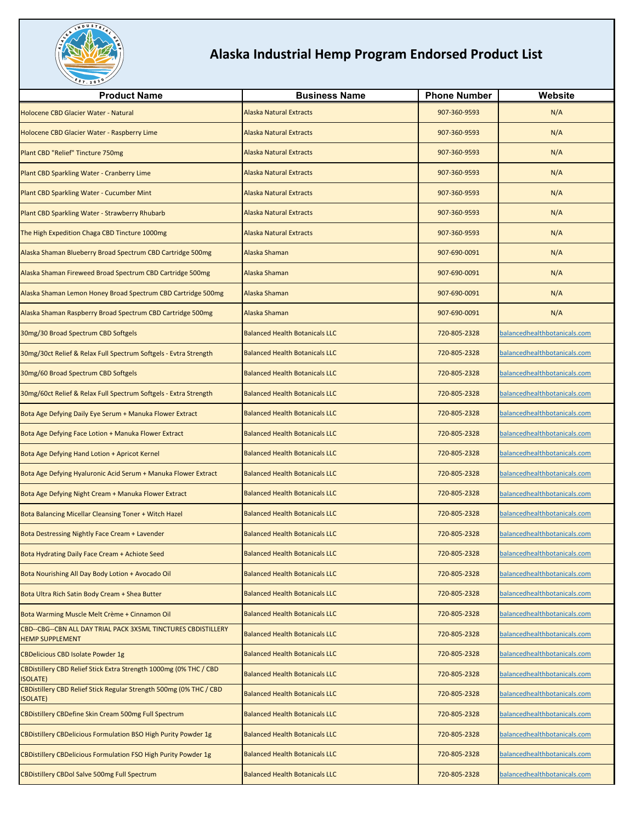

| <b>Product Name</b>                                                                     | <b>Business Name</b>                  | <b>Phone Number</b> | Website                      |
|-----------------------------------------------------------------------------------------|---------------------------------------|---------------------|------------------------------|
| Holocene CBD Glacier Water - Natural                                                    | <b>Alaska Natural Extracts</b>        | 907-360-9593        | N/A                          |
| Holocene CBD Glacier Water - Raspberry Lime                                             | <b>Alaska Natural Extracts</b>        | 907-360-9593        | N/A                          |
| Plant CBD "Relief" Tincture 750mg                                                       | <b>Alaska Natural Extracts</b>        | 907-360-9593        | N/A                          |
| Plant CBD Sparkling Water - Cranberry Lime                                              | <b>Alaska Natural Extracts</b>        | 907-360-9593        | N/A                          |
| Plant CBD Sparkling Water - Cucumber Mint                                               | <b>Alaska Natural Extracts</b>        | 907-360-9593        | N/A                          |
| Plant CBD Sparkling Water - Strawberry Rhubarb                                          | <b>Alaska Natural Extracts</b>        | 907-360-9593        | N/A                          |
| The High Expedition Chaga CBD Tincture 1000mg                                           | <b>Alaska Natural Extracts</b>        | 907-360-9593        | N/A                          |
| Alaska Shaman Blueberry Broad Spectrum CBD Cartridge 500mg                              | Alaska Shaman                         | 907-690-0091        | N/A                          |
| Alaska Shaman Fireweed Broad Spectrum CBD Cartridge 500mg                               | Alaska Shaman                         | 907-690-0091        | N/A                          |
| Alaska Shaman Lemon Honey Broad Spectrum CBD Cartridge 500mg                            | Alaska Shaman                         | 907-690-0091        | N/A                          |
| Alaska Shaman Raspberry Broad Spectrum CBD Cartridge 500mg                              | Alaska Shaman                         | 907-690-0091        | N/A                          |
| 30mg/30 Broad Spectrum CBD Softgels                                                     | <b>Balanced Health Botanicals LLC</b> | 720-805-2328        | balancedhealthbotanicals.com |
| 30mg/30ct Relief & Relax Full Spectrum Softgels - Evtra Strength                        | <b>Balanced Health Botanicals LLC</b> | 720-805-2328        | balancedhealthbotanicals.com |
| 30mg/60 Broad Spectrum CBD Softgels                                                     | <b>Balanced Health Botanicals LLC</b> | 720-805-2328        | balancedhealthbotanicals.com |
| 30mg/60ct Relief & Relax Full Spectrum Softgels - Extra Strength                        | <b>Balanced Health Botanicals LLC</b> | 720-805-2328        | balancedhealthbotanicals.com |
| Bota Age Defying Daily Eye Serum + Manuka Flower Extract                                | <b>Balanced Health Botanicals LLC</b> | 720-805-2328        | balancedhealthbotanicals.com |
| Bota Age Defying Face Lotion + Manuka Flower Extract                                    | <b>Balanced Health Botanicals LLC</b> | 720-805-2328        | balancedhealthbotanicals.com |
| Bota Age Defying Hand Lotion + Apricot Kernel                                           | <b>Balanced Health Botanicals LLC</b> | 720-805-2328        | balancedhealthbotanicals.com |
| Bota Age Defying Hyaluronic Acid Serum + Manuka Flower Extract                          | <b>Balanced Health Botanicals LLC</b> | 720-805-2328        | balancedhealthbotanicals.com |
| Bota Age Defying Night Cream + Manuka Flower Extract                                    | <b>Balanced Health Botanicals LLC</b> | 720-805-2328        | balancedhealthbotanicals.com |
| Bota Balancing Micellar Cleansing Toner + Witch Hazel                                   | <b>Balanced Health Botanicals LLC</b> | 720-805-2328        | balancedhealthbotanicals.com |
| Bota Destressing Nightly Face Cream + Lavender                                          | <b>Balanced Health Botanicals LLC</b> | 720-805-2328        | balancedhealthbotanicals.com |
| Bota Hydrating Daily Face Cream + Achiote Seed                                          | <b>Balanced Health Botanicals LLC</b> | 720-805-2328        | balancedhealthbotanicals.com |
| Bota Nourishing All Day Body Lotion + Avocado Oil                                       | <b>Balanced Health Botanicals LLC</b> | 720-805-2328        | balancedhealthbotanicals.com |
| Bota Ultra Rich Satin Body Cream + Shea Butter                                          | <b>Balanced Health Botanicals LLC</b> | 720-805-2328        | balancedhealthbotanicals.com |
| Bota Warming Muscle Melt Crème + Cinnamon Oil                                           | <b>Balanced Health Botanicals LLC</b> | 720-805-2328        | balancedhealthbotanicals.com |
| CBD--CBG--CBN ALL DAY TRIAL PACK 3X5ML TINCTURES CBDISTILLERY<br><b>HEMP SUPPLEMENT</b> | <b>Balanced Health Botanicals LLC</b> | 720-805-2328        | balancedhealthbotanicals.com |
| <b>CBDelicious CBD Isolate Powder 1g</b>                                                | <b>Balanced Health Botanicals LLC</b> | 720-805-2328        | balancedhealthbotanicals.com |
| CBDistillery CBD Relief Stick Extra Strength 1000mg (0% THC / CBD<br><b>ISOLATE)</b>    | <b>Balanced Health Botanicals LLC</b> | 720-805-2328        | balancedhealthbotanicals.com |
| CBDistillery CBD Relief Stick Regular Strength 500mg (0% THC / CBD<br><b>ISOLATE)</b>   | <b>Balanced Health Botanicals LLC</b> | 720-805-2328        | balancedhealthbotanicals.com |
| <b>CBDistillery CBDefine Skin Cream 500mg Full Spectrum</b>                             | <b>Balanced Health Botanicals LLC</b> | 720-805-2328        | balancedhealthbotanicals.com |
| <b>CBDistillery CBDelicious Formulation BSO High Purity Powder 1g</b>                   | <b>Balanced Health Botanicals LLC</b> | 720-805-2328        | balancedhealthbotanicals.com |
| <b>CBDistillery CBDelicious Formulation FSO High Purity Powder 1g</b>                   | <b>Balanced Health Botanicals LLC</b> | 720-805-2328        | balancedhealthbotanicals.com |
| <b>CBDistillery CBDol Salve 500mg Full Spectrum</b>                                     | <b>Balanced Health Botanicals LLC</b> | 720-805-2328        | balancedhealthbotanicals.com |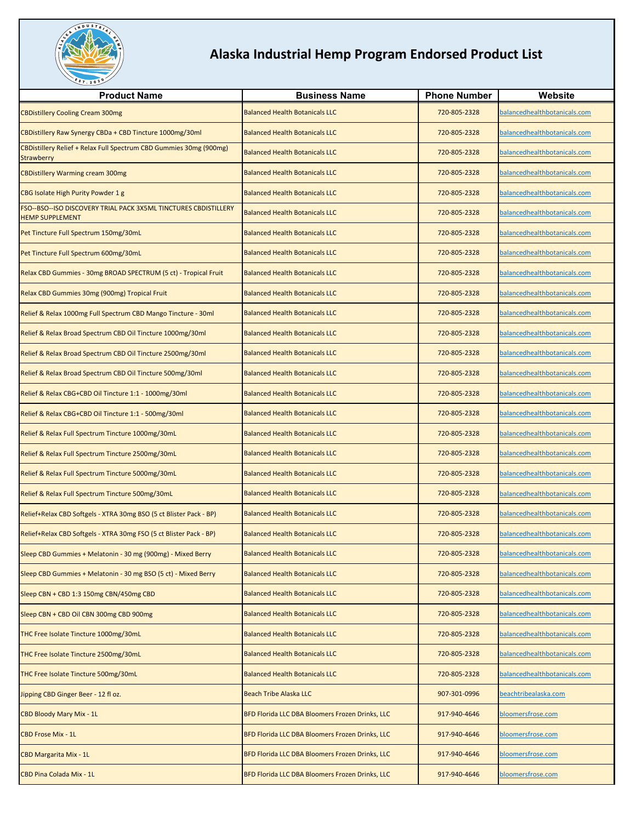

| <b>Product Name</b>                                                                       | <b>Business Name</b>                            | <b>Phone Number</b> | Website                      |
|-------------------------------------------------------------------------------------------|-------------------------------------------------|---------------------|------------------------------|
| <b>CBDistillery Cooling Cream 300mg</b>                                                   | <b>Balanced Health Botanicals LLC</b>           | 720-805-2328        | balancedhealthbotanicals.com |
| CBDistillery Raw Synergy CBDa + CBD Tincture 1000mg/30ml                                  | <b>Balanced Health Botanicals LLC</b>           | 720-805-2328        | balancedhealthbotanicals.com |
| CBDistillery Relief + Relax Full Spectrum CBD Gummies 30mg (900mg)<br>Strawberry          | <b>Balanced Health Botanicals LLC</b>           | 720-805-2328        | balancedhealthbotanicals.com |
| <b>CBDistillery Warming cream 300mg</b>                                                   | <b>Balanced Health Botanicals LLC</b>           | 720-805-2328        | balancedhealthbotanicals.com |
| CBG Isolate High Purity Powder 1 g                                                        | <b>Balanced Health Botanicals LLC</b>           | 720-805-2328        | balancedhealthbotanicals.com |
| FSO--BSO--ISO DISCOVERY TRIAL PACK 3X5ML TINCTURES CBDISTILLERY<br><b>HEMP SUPPLEMENT</b> | <b>Balanced Health Botanicals LLC</b>           | 720-805-2328        | balancedhealthbotanicals.com |
| Pet Tincture Full Spectrum 150mg/30mL                                                     | <b>Balanced Health Botanicals LLC</b>           | 720-805-2328        | balancedhealthbotanicals.com |
| Pet Tincture Full Spectrum 600mg/30mL                                                     | <b>Balanced Health Botanicals LLC</b>           | 720-805-2328        | balancedhealthbotanicals.com |
| Relax CBD Gummies - 30mg BROAD SPECTRUM (5 ct) - Tropical Fruit                           | <b>Balanced Health Botanicals LLC</b>           | 720-805-2328        | balancedhealthbotanicals.com |
| Relax CBD Gummies 30mg (900mg) Tropical Fruit                                             | <b>Balanced Health Botanicals LLC</b>           | 720-805-2328        | balancedhealthbotanicals.com |
| Relief & Relax 1000mg Full Spectrum CBD Mango Tincture - 30ml                             | <b>Balanced Health Botanicals LLC</b>           | 720-805-2328        | balancedhealthbotanicals.com |
| Relief & Relax Broad Spectrum CBD Oil Tincture 1000mg/30ml                                | <b>Balanced Health Botanicals LLC</b>           | 720-805-2328        | balancedhealthbotanicals.com |
| Relief & Relax Broad Spectrum CBD Oil Tincture 2500mg/30ml                                | <b>Balanced Health Botanicals LLC</b>           | 720-805-2328        | balancedhealthbotanicals.com |
| Relief & Relax Broad Spectrum CBD Oil Tincture 500mg/30ml                                 | <b>Balanced Health Botanicals LLC</b>           | 720-805-2328        | balancedhealthbotanicals.com |
| Relief & Relax CBG+CBD Oil Tincture 1:1 - 1000mg/30ml                                     | <b>Balanced Health Botanicals LLC</b>           | 720-805-2328        | balancedhealthbotanicals.com |
| Relief & Relax CBG+CBD Oil Tincture 1:1 - 500mg/30ml                                      | <b>Balanced Health Botanicals LLC</b>           | 720-805-2328        | balancedhealthbotanicals.com |
| Relief & Relax Full Spectrum Tincture 1000mg/30mL                                         | <b>Balanced Health Botanicals LLC</b>           | 720-805-2328        | balancedhealthbotanicals.com |
| Relief & Relax Full Spectrum Tincture 2500mg/30mL                                         | <b>Balanced Health Botanicals LLC</b>           | 720-805-2328        | balancedhealthbotanicals.com |
| Relief & Relax Full Spectrum Tincture 5000mg/30mL                                         | <b>Balanced Health Botanicals LLC</b>           | 720-805-2328        | balancedhealthbotanicals.com |
| Relief & Relax Full Spectrum Tincture 500mg/30mL                                          | <b>Balanced Health Botanicals LLC</b>           | 720-805-2328        | balancedhealthbotanicals.com |
| Relief+Relax CBD Softgels - XTRA 30mg BSO (5 ct Blister Pack - BP)                        | <b>Balanced Health Botanicals LLC</b>           | 720-805-2328        | balancedhealthbotanicals.com |
| Relief+Relax CBD Softgels - XTRA 30mg FSO (5 ct Blister Pack - BP)                        | <b>Balanced Health Botanicals LLC</b>           | 720-805-2328        | balancedhealthbotanicals.com |
| Sleep CBD Gummies + Melatonin - 30 mg (900mg) - Mixed Berry                               | <b>Balanced Health Botanicals LLC</b>           | 720-805-2328        | balancedhealthbotanicals.com |
| Sleep CBD Gummies + Melatonin - 30 mg BSO (5 ct) - Mixed Berry                            | <b>Balanced Health Botanicals LLC</b>           | 720-805-2328        | balancedhealthbotanicals.com |
| Sleep CBN + CBD 1:3 150mg CBN/450mg CBD                                                   | <b>Balanced Health Botanicals LLC</b>           | 720-805-2328        | balancedhealthbotanicals.com |
| Sleep CBN + CBD Oil CBN 300mg CBD 900mg                                                   | <b>Balanced Health Botanicals LLC</b>           | 720-805-2328        | balancedhealthbotanicals.com |
| THC Free Isolate Tincture 1000mg/30mL                                                     | <b>Balanced Health Botanicals LLC</b>           | 720-805-2328        | balancedhealthbotanicals.com |
| THC Free Isolate Tincture 2500mg/30mL                                                     | <b>Balanced Health Botanicals LLC</b>           | 720-805-2328        | balancedhealthbotanicals.com |
| THC Free Isolate Tincture 500mg/30mL                                                      | <b>Balanced Health Botanicals LLC</b>           | 720-805-2328        | balancedhealthbotanicals.com |
| Jipping CBD Ginger Beer - 12 fl oz.                                                       | <b>Beach Tribe Alaska LLC</b>                   | 907-301-0996        | beachtribealaska.com         |
| CBD Bloody Mary Mix - 1L                                                                  | BFD Florida LLC DBA Bloomers Frozen Drinks, LLC | 917-940-4646        | bloomersfrose.com            |
| <b>CBD Frose Mix - 1L</b>                                                                 | BFD Florida LLC DBA Bloomers Frozen Drinks, LLC | 917-940-4646        | bloomersfrose.com            |
| <b>CBD Margarita Mix - 1L</b>                                                             | BFD Florida LLC DBA Bloomers Frozen Drinks, LLC | 917-940-4646        | bloomersfrose.com            |
| CBD Pina Colada Mix - 1L                                                                  | BFD Florida LLC DBA Bloomers Frozen Drinks, LLC | 917-940-4646        | bloomersfrose.com            |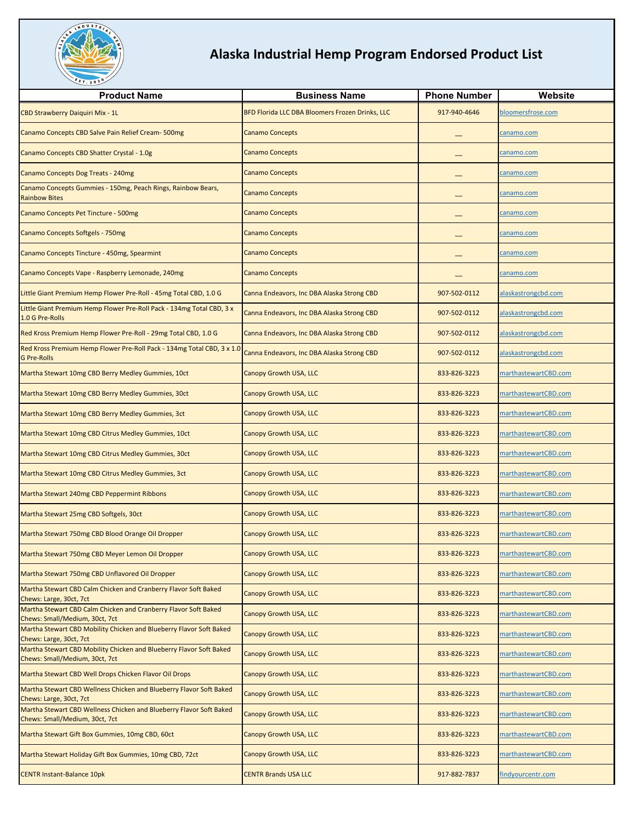

| <b>Product Name</b>                                                                                   | <b>Business Name</b>                            | <b>Phone Number</b> | Website              |
|-------------------------------------------------------------------------------------------------------|-------------------------------------------------|---------------------|----------------------|
| CBD Strawberry Daiquiri Mix - 1L                                                                      | BFD Florida LLC DBA Bloomers Frozen Drinks, LLC | 917-940-4646        | bloomersfrose.com    |
|                                                                                                       |                                                 |                     |                      |
| Canamo Concepts CBD Salve Pain Relief Cream-500mg                                                     | <b>Canamo Concepts</b>                          |                     | canamo.com           |
| Canamo Concepts CBD Shatter Crystal - 1.0g                                                            | <b>Canamo Concepts</b>                          |                     | canamo.com           |
| Canamo Concepts Dog Treats - 240mg                                                                    | <b>Canamo Concepts</b>                          |                     | canamo.com           |
| Canamo Concepts Gummies - 150mg, Peach Rings, Rainbow Bears,<br><b>Rainbow Bites</b>                  | <b>Canamo Concepts</b>                          |                     | canamo.com           |
| Canamo Concepts Pet Tincture - 500mg                                                                  | <b>Canamo Concepts</b>                          |                     | canamo.com           |
| Canamo Concepts Softgels - 750mg                                                                      | <b>Canamo Concepts</b>                          |                     | canamo.com           |
| Canamo Concepts Tincture - 450mg, Spearmint                                                           | <b>Canamo Concepts</b>                          |                     | canamo.com           |
| Canamo Concepts Vape - Raspberry Lemonade, 240mg                                                      | <b>Canamo Concepts</b>                          |                     | canamo.com           |
| Little Giant Premium Hemp Flower Pre-Roll - 45mg Total CBD, 1.0 G                                     | Canna Endeavors, Inc DBA Alaska Strong CBD      | 907-502-0112        | alaskastrongcbd.com  |
| ittle Giant Premium Hemp Flower Pre-Roll Pack - 134mg Total CBD, 3 x<br>1.0 G Pre-Rolls               | Canna Endeavors, Inc DBA Alaska Strong CBD      | 907-502-0112        | alaskastrongcbd.com  |
| Red Kross Premium Hemp Flower Pre-Roll - 29mg Total CBD, 1.0 G                                        | Canna Endeavors, Inc DBA Alaska Strong CBD      | 907-502-0112        | alaskastrongcbd.com  |
| Red Kross Premium Hemp Flower Pre-Roll Pack - 134mg Total CBD, 3 x 1.0<br><b>G Pre-Rolls</b>          | Canna Endeavors, Inc DBA Alaska Strong CBD      | 907-502-0112        | alaskastrongcbd.com  |
| Martha Stewart 10mg CBD Berry Medley Gummies, 10ct                                                    | Canopy Growth USA, LLC                          | 833-826-3223        | marthastewartCBD.com |
| Martha Stewart 10mg CBD Berry Medley Gummies, 30ct                                                    | Canopy Growth USA, LLC                          | 833-826-3223        | marthastewartCBD.com |
| Martha Stewart 10mg CBD Berry Medley Gummies, 3ct                                                     | Canopy Growth USA, LLC                          | 833-826-3223        | marthastewartCBD.com |
| Martha Stewart 10mg CBD Citrus Medley Gummies, 10ct                                                   | Canopy Growth USA, LLC                          | 833-826-3223        | marthastewartCBD.com |
| Martha Stewart 10mg CBD Citrus Medley Gummies, 30ct                                                   | Canopy Growth USA, LLC                          | 833-826-3223        | marthastewartCBD.com |
| Martha Stewart 10mg CBD Citrus Medley Gummies, 3ct                                                    | Canopy Growth USA, LLC                          | 833-826-3223        | marthastewartCBD.com |
| Martha Stewart 240mg CBD Peppermint Ribbons                                                           | Canopy Growth USA, LLC                          | 833-826-3223        | marthastewartCBD.com |
| Martha Stewart 25mg CBD Softgels, 30ct                                                                | Canopy Growth USA, LLC                          | 833-826-3223        | marthastewartCBD.com |
| Martha Stewart 750mg CBD Blood Orange Oil Dropper                                                     | Canopy Growth USA, LLC                          | 833-826-3223        | marthastewartCBD.com |
| Martha Stewart 750mg CBD Meyer Lemon Oil Dropper                                                      | <b>Canopy Growth USA, LLC</b>                   | 833-826-3223        | marthastewartCBD.com |
| Martha Stewart 750mg CBD Unflavored Oil Dropper                                                       | Canopy Growth USA, LLC                          | 833-826-3223        | marthastewartCBD.com |
| Martha Stewart CBD Calm Chicken and Cranberry Flavor Soft Baked<br>Chews: Large, 30ct, 7ct            | <b>Canopy Growth USA, LLC</b>                   | 833-826-3223        | marthastewartCBD.com |
| Martha Stewart CBD Calm Chicken and Cranberry Flavor Soft Baked<br>Chews: Small/Medium, 30ct, 7ct     | Canopy Growth USA, LLC                          | 833-826-3223        | marthastewartCBD.com |
| Martha Stewart CBD Mobility Chicken and Blueberry Flavor Soft Baked<br>Chews: Large, 30ct, 7ct        | Canopy Growth USA, LLC                          | 833-826-3223        | marthastewartCBD.com |
| Martha Stewart CBD Mobility Chicken and Blueberry Flavor Soft Baked<br>Chews: Small/Medium, 30ct, 7ct | Canopy Growth USA, LLC                          | 833-826-3223        | marthastewartCBD.com |
| Martha Stewart CBD Well Drops Chicken Flavor Oil Drops                                                | Canopy Growth USA, LLC                          | 833-826-3223        | marthastewartCBD.com |
| Martha Stewart CBD Wellness Chicken and Blueberry Flavor Soft Baked<br>Chews: Large, 30ct, 7ct        | Canopy Growth USA, LLC                          | 833-826-3223        | marthastewartCBD.com |
| Martha Stewart CBD Wellness Chicken and Blueberry Flavor Soft Baked<br>Chews: Small/Medium, 30ct, 7ct | Canopy Growth USA, LLC                          | 833-826-3223        | marthastewartCBD.com |
| Martha Stewart Gift Box Gummies, 10mg CBD, 60ct                                                       | Canopy Growth USA, LLC                          | 833-826-3223        | marthastewartCBD.com |
| Martha Stewart Holiday Gift Box Gummies, 10mg CBD, 72ct                                               | Canopy Growth USA, LLC                          | 833-826-3223        | marthastewartCBD.com |
| <b>CENTR Instant-Balance 10pk</b>                                                                     | <b>CENTR Brands USA LLC</b>                     | 917-882-7837        | findyourcentr.com    |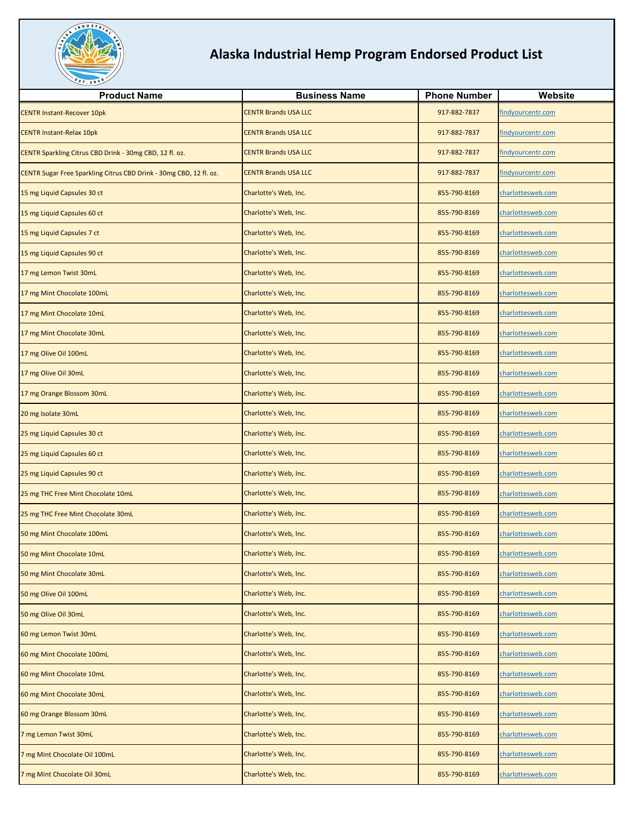

| <b>Product Name</b>                                                | <b>Business Name</b>        | <b>Phone Number</b> | Website           |
|--------------------------------------------------------------------|-----------------------------|---------------------|-------------------|
| <b>CENTR Instant-Recover 10pk</b>                                  | <b>CENTR Brands USA LLC</b> | 917-882-7837        | findyourcentr.com |
| <b>CENTR Instant-Relax 10pk</b>                                    | <b>CENTR Brands USA LLC</b> | 917-882-7837        | findyourcentr.com |
| CENTR Sparkling Citrus CBD Drink - 30mg CBD, 12 fl. oz.            | <b>CENTR Brands USA LLC</b> | 917-882-7837        | findyourcentr.com |
| CENTR Sugar Free Sparkling Citrus CBD Drink - 30mg CBD, 12 fl. oz. | <b>CENTR Brands USA LLC</b> | 917-882-7837        | findyourcentr.com |
| 15 mg Liquid Capsules 30 ct                                        | Charlotte's Web, Inc.       | 855-790-8169        | charlottesweb.com |
| 15 mg Liquid Capsules 60 ct                                        | Charlotte's Web, Inc.       | 855-790-8169        | charlottesweb.com |
| 15 mg Liquid Capsules 7 ct                                         | Charlotte's Web, Inc.       | 855-790-8169        | charlottesweb.com |
| 15 mg Liquid Capsules 90 ct                                        | Charlotte's Web, Inc.       | 855-790-8169        | charlottesweb.com |
| 17 mg Lemon Twist 30mL                                             | Charlotte's Web, Inc.       | 855-790-8169        | charlottesweb.com |
| 17 mg Mint Chocolate 100mL                                         | Charlotte's Web, Inc.       | 855-790-8169        | charlottesweb.com |
| 17 mg Mint Chocolate 10mL                                          | Charlotte's Web, Inc.       | 855-790-8169        | charlottesweb.com |
| 17 mg Mint Chocolate 30mL                                          | Charlotte's Web, Inc.       | 855-790-8169        | charlottesweb.com |
| 17 mg Olive Oil 100mL                                              | Charlotte's Web, Inc.       | 855-790-8169        | charlottesweb.com |
| 17 mg Olive Oil 30mL                                               | Charlotte's Web, Inc.       | 855-790-8169        | charlottesweb.com |
| 17 mg Orange Blossom 30mL                                          | Charlotte's Web, Inc.       | 855-790-8169        | charlottesweb.com |
| 20 mg Isolate 30mL                                                 | Charlotte's Web, Inc.       | 855-790-8169        | charlottesweb.com |
| 25 mg Liquid Capsules 30 ct                                        | Charlotte's Web, Inc.       | 855-790-8169        | charlottesweb.com |
| 25 mg Liquid Capsules 60 ct                                        | Charlotte's Web, Inc.       | 855-790-8169        | charlottesweb.com |
| 25 mg Liquid Capsules 90 ct                                        | Charlotte's Web, Inc.       | 855-790-8169        | charlottesweb.com |
| 25 mg THC Free Mint Chocolate 10mL                                 | Charlotte's Web, Inc.       | 855-790-8169        | charlottesweb.com |
| 25 mg THC Free Mint Chocolate 30mL                                 | Charlotte's Web, Inc.       | 855-790-8169        | charlottesweb.com |
| 50 mg Mint Chocolate 100mL                                         | Charlotte's Web, Inc.       | 855-790-8169        | charlottesweb.com |
| 50 mg Mint Chocolate 10mL                                          | Charlotte's Web, Inc.       | 855-790-8169        | charlottesweb.com |
| 50 mg Mint Chocolate 30mL                                          | Charlotte's Web, Inc.       | 855-790-8169        | charlottesweb.com |
| 50 mg Olive Oil 100mL                                              | Charlotte's Web, Inc.       | 855-790-8169        | charlottesweb.com |
| 50 mg Olive Oil 30mL                                               | Charlotte's Web, Inc.       | 855-790-8169        | charlottesweb.com |
| 60 mg Lemon Twist 30mL                                             | Charlotte's Web, Inc.       | 855-790-8169        | charlottesweb.com |
| 60 mg Mint Chocolate 100mL                                         | Charlotte's Web, Inc.       | 855-790-8169        | charlottesweb.com |
| 60 mg Mint Chocolate 10mL                                          | Charlotte's Web, Inc.       | 855-790-8169        | charlottesweb.com |
| 60 mg Mint Chocolate 30mL                                          | Charlotte's Web, Inc.       | 855-790-8169        | charlottesweb.com |
| 60 mg Orange Blossom 30mL                                          | Charlotte's Web, Inc.       | 855-790-8169        | charlottesweb.com |
| 7 mg Lemon Twist 30mL                                              | Charlotte's Web, Inc.       | 855-790-8169        | charlottesweb.com |
| 7 mg Mint Chocolate Oil 100mL                                      | Charlotte's Web, Inc.       | 855-790-8169        | charlottesweb.com |
| 7 mg Mint Chocolate Oil 30mL                                       | Charlotte's Web, Inc.       | 855-790-8169        | charlottesweb.com |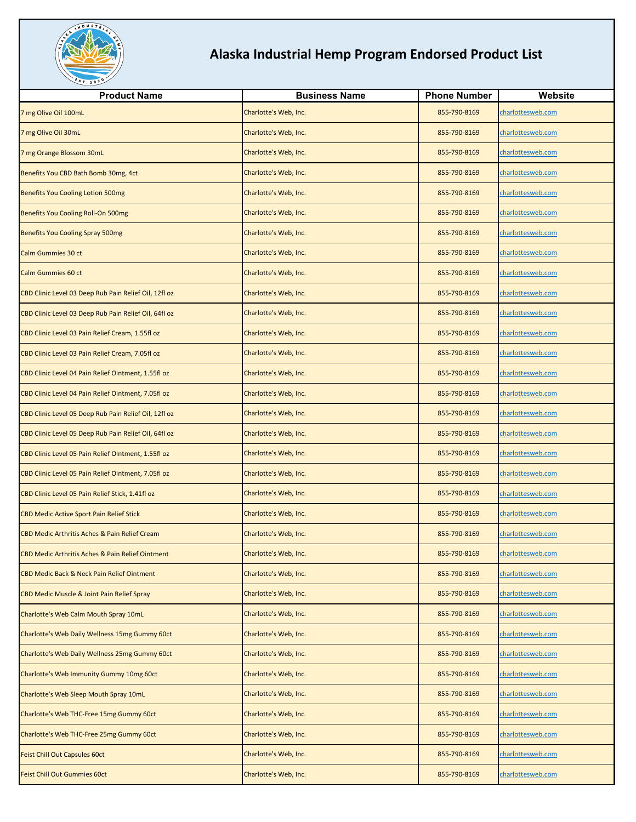

| <b>Product Name</b>                                   | <b>Business Name</b>  | <b>Phone Number</b> | Website           |
|-------------------------------------------------------|-----------------------|---------------------|-------------------|
| 7 mg Olive Oil 100mL                                  | Charlotte's Web, Inc. | 855-790-8169        | charlottesweb.com |
| 7 mg Olive Oil 30mL                                   | Charlotte's Web, Inc. | 855-790-8169        | charlottesweb.com |
| 7 mg Orange Blossom 30mL                              | Charlotte's Web, Inc. | 855-790-8169        | charlottesweb.com |
| Benefits You CBD Bath Bomb 30mg, 4ct                  | Charlotte's Web, Inc. | 855-790-8169        | charlottesweb.com |
| <b>Benefits You Cooling Lotion 500mg</b>              | Charlotte's Web, Inc. | 855-790-8169        | charlottesweb.com |
| Benefits You Cooling Roll-On 500mg                    | Charlotte's Web, Inc. | 855-790-8169        | charlottesweb.com |
| <b>Benefits You Cooling Spray 500mg</b>               | Charlotte's Web, Inc. | 855-790-8169        | charlottesweb.com |
| Calm Gummies 30 ct                                    | Charlotte's Web, Inc. | 855-790-8169        | charlottesweb.com |
| Calm Gummies 60 ct                                    | Charlotte's Web, Inc. | 855-790-8169        | charlottesweb.com |
| CBD Clinic Level 03 Deep Rub Pain Relief Oil, 12fl oz | Charlotte's Web, Inc. | 855-790-8169        | charlottesweb.com |
| CBD Clinic Level 03 Deep Rub Pain Relief Oil, 64fl oz | Charlotte's Web, Inc. | 855-790-8169        | charlottesweb.com |
| CBD Clinic Level 03 Pain Relief Cream, 1.55fl oz      | Charlotte's Web, Inc. | 855-790-8169        | charlottesweb.com |
| CBD Clinic Level 03 Pain Relief Cream, 7.05fl oz      | Charlotte's Web, Inc. | 855-790-8169        | charlottesweb.com |
| CBD Clinic Level 04 Pain Relief Ointment, 1.55fl oz   | Charlotte's Web, Inc. | 855-790-8169        | charlottesweb.com |
| CBD Clinic Level 04 Pain Relief Ointment, 7.05fl oz   | Charlotte's Web, Inc. | 855-790-8169        | charlottesweb.com |
| CBD Clinic Level 05 Deep Rub Pain Relief Oil, 12fl oz | Charlotte's Web, Inc. | 855-790-8169        | charlottesweb.com |
| CBD Clinic Level 05 Deep Rub Pain Relief Oil, 64fl oz | Charlotte's Web, Inc. | 855-790-8169        | charlottesweb.com |
| CBD Clinic Level 05 Pain Relief Ointment, 1.55fl oz   | Charlotte's Web, Inc. | 855-790-8169        | charlottesweb.com |
| CBD Clinic Level 05 Pain Relief Ointment, 7.05fl oz   | Charlotte's Web, Inc. | 855-790-8169        | charlottesweb.com |
| CBD Clinic Level 05 Pain Relief Stick, 1.41fl oz      | Charlotte's Web, Inc. | 855-790-8169        | charlottesweb.com |
| <b>CBD Medic Active Sport Pain Relief Stick</b>       | Charlotte's Web, Inc. | 855-790-8169        | charlottesweb.com |
| CBD Medic Arthritis Aches & Pain Relief Cream         | Charlotte's Web, Inc. | 855-790-8169        | charlottesweb.com |
| CBD Medic Arthritis Aches & Pain Relief Ointment      | Charlotte's Web, Inc. | 855-790-8169        | charlottesweb.com |
| CBD Medic Back & Neck Pain Relief Ointment            | Charlotte's Web, Inc. | 855-790-8169        | charlottesweb.com |
| CBD Medic Muscle & Joint Pain Relief Spray            | Charlotte's Web, Inc. | 855-790-8169        | charlottesweb.com |
| Charlotte's Web Calm Mouth Spray 10mL                 | Charlotte's Web, Inc. | 855-790-8169        | charlottesweb.com |
| Charlotte's Web Daily Wellness 15mg Gummy 60ct        | Charlotte's Web, Inc. | 855-790-8169        | charlottesweb.com |
| Charlotte's Web Daily Wellness 25mg Gummy 60ct        | Charlotte's Web, Inc. | 855-790-8169        | charlottesweb.com |
| Charlotte's Web Immunity Gummy 10mg 60ct              | Charlotte's Web, Inc. | 855-790-8169        | charlottesweb.com |
| Charlotte's Web Sleep Mouth Spray 10mL                | Charlotte's Web, Inc. | 855-790-8169        | charlottesweb.com |
| Charlotte's Web THC-Free 15mg Gummy 60ct              | Charlotte's Web, Inc. | 855-790-8169        | charlottesweb.com |
| Charlotte's Web THC-Free 25mg Gummy 60ct              | Charlotte's Web, Inc. | 855-790-8169        | charlottesweb.com |
| <b>Feist Chill Out Capsules 60ct</b>                  | Charlotte's Web, Inc. | 855-790-8169        | charlottesweb.com |
| Feist Chill Out Gummies 60ct                          | Charlotte's Web, Inc. | 855-790-8169        | charlottesweb.com |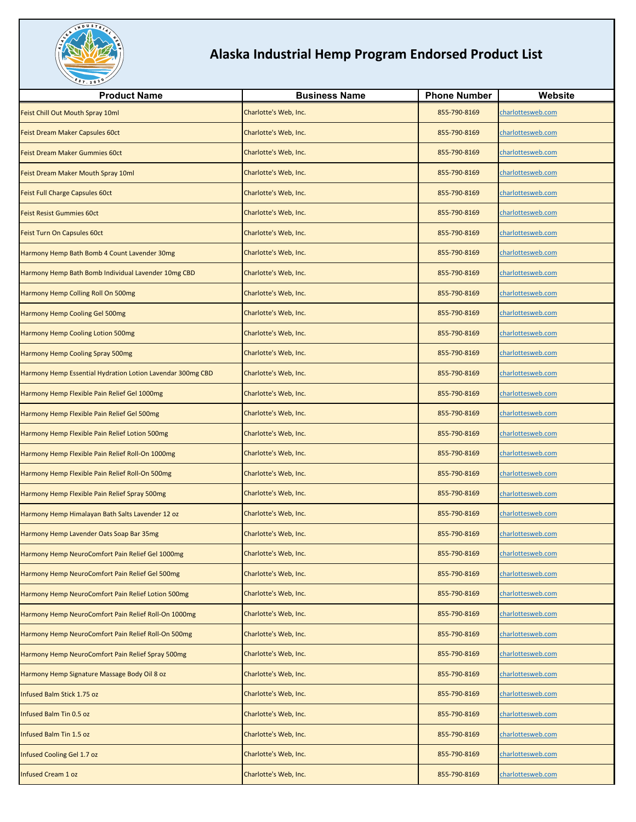

| <b>Product Name</b>                                        | <b>Business Name</b>  | <b>Phone Number</b> | Website           |
|------------------------------------------------------------|-----------------------|---------------------|-------------------|
| Feist Chill Out Mouth Spray 10ml                           | Charlotte's Web, Inc. | 855-790-8169        | charlottesweb.com |
| Feist Dream Maker Capsules 60ct                            | Charlotte's Web, Inc. | 855-790-8169        | charlottesweb.com |
| <b>Feist Dream Maker Gummies 60ct</b>                      | Charlotte's Web, Inc. | 855-790-8169        | charlottesweb.com |
| Feist Dream Maker Mouth Spray 10ml                         | Charlotte's Web, Inc. | 855-790-8169        | charlottesweb.com |
| <b>Feist Full Charge Capsules 60ct</b>                     | Charlotte's Web, Inc. | 855-790-8169        | charlottesweb.com |
| <b>Feist Resist Gummies 60ct</b>                           | Charlotte's Web, Inc. | 855-790-8169        | charlottesweb.com |
| Feist Turn On Capsules 60ct                                | Charlotte's Web, Inc. | 855-790-8169        | charlottesweb.com |
| Harmony Hemp Bath Bomb 4 Count Lavender 30mg               | Charlotte's Web, Inc. | 855-790-8169        | charlottesweb.com |
| Harmony Hemp Bath Bomb Individual Lavender 10mg CBD        | Charlotte's Web, Inc. | 855-790-8169        | charlottesweb.com |
| Harmony Hemp Colling Roll On 500mg                         | Charlotte's Web, Inc. | 855-790-8169        | charlottesweb.com |
| Harmony Hemp Cooling Gel 500mg                             | Charlotte's Web, Inc. | 855-790-8169        | charlottesweb.com |
| <b>Harmony Hemp Cooling Lotion 500mg</b>                   | Charlotte's Web, Inc. | 855-790-8169        | charlottesweb.com |
| <b>Harmony Hemp Cooling Spray 500mg</b>                    | Charlotte's Web, Inc. | 855-790-8169        | charlottesweb.com |
| Harmony Hemp Essential Hydration Lotion Lavendar 300mg CBD | Charlotte's Web, Inc. | 855-790-8169        | charlottesweb.com |
| Harmony Hemp Flexible Pain Relief Gel 1000mg               | Charlotte's Web, Inc. | 855-790-8169        | charlottesweb.com |
| Harmony Hemp Flexible Pain Relief Gel 500mg                | Charlotte's Web, Inc. | 855-790-8169        | charlottesweb.com |
| Harmony Hemp Flexible Pain Relief Lotion 500mg             | Charlotte's Web, Inc. | 855-790-8169        | charlottesweb.com |
| Harmony Hemp Flexible Pain Relief Roll-On 1000mg           | Charlotte's Web, Inc. | 855-790-8169        | charlottesweb.com |
| Harmony Hemp Flexible Pain Relief Roll-On 500mg            | Charlotte's Web, Inc. | 855-790-8169        | charlottesweb.com |
| Harmony Hemp Flexible Pain Relief Spray 500mg              | Charlotte's Web, Inc. | 855-790-8169        | charlottesweb.com |
| Harmony Hemp Himalayan Bath Salts Lavender 12 oz           | Charlotte's Web, Inc. | 855-790-8169        | charlottesweb.com |
| Harmony Hemp Lavender Oats Soap Bar 35mg                   | Charlotte's Web, Inc. | 855-790-8169        | charlottesweb.com |
| Harmony Hemp NeuroComfort Pain Relief Gel 1000mg           | Charlotte's Web, Inc. | 855-790-8169        | charlottesweb.com |
| Harmony Hemp NeuroComfort Pain Relief Gel 500mg            | Charlotte's Web, Inc. | 855-790-8169        | charlottesweb.com |
| Harmony Hemp NeuroComfort Pain Relief Lotion 500mg         | Charlotte's Web, Inc. | 855-790-8169        | charlottesweb.com |
| Harmony Hemp NeuroComfort Pain Relief Roll-On 1000mg       | Charlotte's Web, Inc. | 855-790-8169        | charlottesweb.com |
| Harmony Hemp NeuroComfort Pain Relief Roll-On 500mg        | Charlotte's Web, Inc. | 855-790-8169        | charlottesweb.com |
| Harmony Hemp NeuroComfort Pain Relief Spray 500mg          | Charlotte's Web, Inc. | 855-790-8169        | charlottesweb.com |
| Harmony Hemp Signature Massage Body Oil 8 oz               | Charlotte's Web, Inc. | 855-790-8169        | charlottesweb.com |
| Infused Balm Stick 1.75 oz                                 | Charlotte's Web, Inc. | 855-790-8169        | charlottesweb.com |
| Infused Balm Tin 0.5 oz                                    | Charlotte's Web, Inc. | 855-790-8169        | charlottesweb.com |
| Infused Balm Tin 1.5 oz                                    | Charlotte's Web, Inc. | 855-790-8169        | charlottesweb.com |
| Infused Cooling Gel 1.7 oz                                 | Charlotte's Web, Inc. | 855-790-8169        | charlottesweb.com |
| Infused Cream 1 oz                                         | Charlotte's Web, Inc. | 855-790-8169        | charlottesweb.com |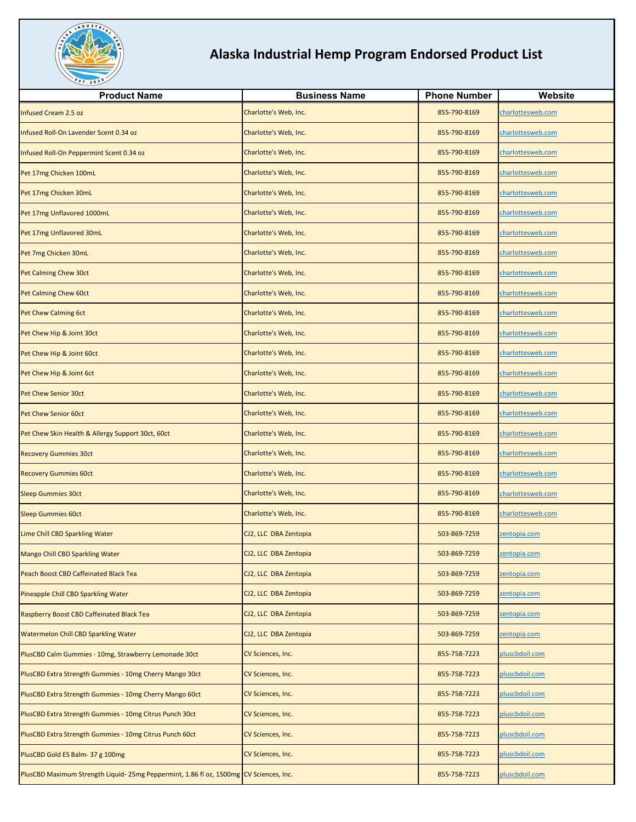

| <b>Product Name</b>                                                                    | <b>Business Name</b>  | <b>Phone Number</b> | Website           |
|----------------------------------------------------------------------------------------|-----------------------|---------------------|-------------------|
| <b>Infused Cream 2.5 oz</b>                                                            | Charlotte's Web, Inc. | 855-790-8169        | charlottesweb.com |
| Infused Roll-On Lavender Scent 0.34 oz                                                 | Charlotte's Web, Inc. | 855-790-8169        | charlottesweb.com |
| Infused Roll-On Peppermint Scent 0.34 oz                                               | Charlotte's Web, Inc. | 855-790-8169        | charlottesweb.com |
| Pet 17mg Chicken 100mL                                                                 | Charlotte's Web, Inc. | 855-790-8169        | charlottesweb.com |
| Pet 17mg Chicken 30mL                                                                  | Charlotte's Web, Inc. | 855-790-8169        | charlottesweb.com |
| Pet 17mg Unflavored 1000mL                                                             | Charlotte's Web, Inc. | 855-790-8169        | charlottesweb.com |
| Pet 17mg Unflavored 30mL                                                               | Charlotte's Web, Inc. | 855-790-8169        | charlottesweb.com |
| Pet 7mg Chicken 30mL                                                                   | Charlotte's Web, Inc. | 855-790-8169        | charlottesweb.com |
| Pet Calming Chew 30ct                                                                  | Charlotte's Web, Inc. | 855-790-8169        | charlottesweb.com |
| Pet Calming Chew 60ct                                                                  | Charlotte's Web, Inc. | 855-790-8169        | charlottesweb.com |
| Pet Chew Calming 6ct                                                                   | Charlotte's Web, Inc. | 855-790-8169        | charlottesweb.com |
| Pet Chew Hip & Joint 30ct                                                              | Charlotte's Web, Inc. | 855-790-8169        | charlottesweb.com |
| Pet Chew Hip & Joint 60ct                                                              | Charlotte's Web, Inc. | 855-790-8169        | charlottesweb.com |
| Pet Chew Hip & Joint 6ct                                                               | Charlotte's Web, Inc. | 855-790-8169        | charlottesweb.com |
| Pet Chew Senior 30ct                                                                   | Charlotte's Web, Inc. | 855-790-8169        | charlottesweb.com |
| Pet Chew Senior 60ct                                                                   | Charlotte's Web, Inc. | 855-790-8169        | charlottesweb.com |
| Pet Chew Skin Health & Allergy Support 30ct, 60ct                                      | Charlotte's Web, Inc. | 855-790-8169        | charlottesweb.com |
| <b>Recovery Gummies 30ct</b>                                                           | Charlotte's Web, Inc. | 855-790-8169        | charlottesweb.com |
| <b>Recovery Gummies 60ct</b>                                                           | Charlotte's Web, Inc. | 855-790-8169        | charlottesweb.com |
| <b>Sleep Gummies 30ct</b>                                                              | Charlotte's Web, Inc. | 855-790-8169        | charlottesweb.com |
| <b>Sleep Gummies 60ct</b>                                                              | Charlotte's Web, Inc. | 855-790-8169        | charlottesweb.com |
| Lime Chill CBD Sparkling Water                                                         | CJ2, LLC DBA Zentopia | 503-869-7259        | zentopia.com      |
| Mango Chill CBD Sparkling Water                                                        | CJ2, LLC DBA Zentopia | 503-869-7259        | zentopia.com      |
| Peach Boost CBD Caffeinated Black Tea                                                  | CJ2, LLC DBA Zentopia | 503-869-7259        | zentopia.com      |
| Pineapple Chill CBD Sparkling Water                                                    | CJ2, LLC DBA Zentopia | 503-869-7259        | zentopia.com      |
| Raspberry Boost CBD Caffeinated Black Tea                                              | CJ2, LLC DBA Zentopia | 503-869-7259        | zentopia.com      |
| <b>Watermelon Chill CBD Sparkling Water</b>                                            | CJ2, LLC DBA Zentopia | 503-869-7259        | zentopia.com      |
| PlusCBD Calm Gummies - 10mg, Strawberry Lemonade 30ct                                  | CV Sciences, Inc.     | 855-758-7223        | pluscbdoil.com    |
| PlusCBD Extra Strength Gummies - 10mg Cherry Mango 30ct                                | CV Sciences, Inc.     | 855-758-7223        | pluscbdoil.com    |
| PlusCBD Extra Strength Gummies - 10mg Cherry Mango 60ct                                | CV Sciences, Inc.     | 855-758-7223        | pluscbdoil.com    |
| PlusCBD Extra Strength Gummies - 10mg Citrus Punch 30ct                                | CV Sciences, Inc.     | 855-758-7223        | pluscbdoil.com    |
| PlusCBD Extra Strength Gummies - 10mg Citrus Punch 60ct                                | CV Sciences, Inc.     | 855-758-7223        | pluscbdoil.com    |
| PlusCBD Gold ES Balm-37 g 100mg                                                        | CV Sciences, Inc.     | 855-758-7223        | pluscbdoil.com    |
| PlusCBD Maximum Strength Liquid- 25mg Peppermint, 1.86 fl oz, 1500mg CV Sciences, Inc. |                       | 855-758-7223        | pluscbdoil.com    |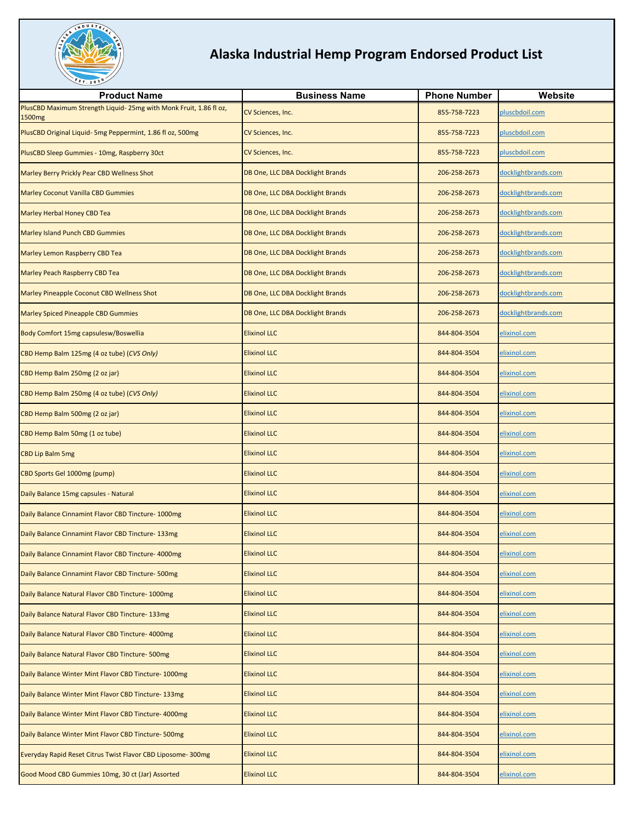

| <b>Product Name</b>                                                              | <b>Business Name</b>                    | <b>Phone Number</b> | Website             |
|----------------------------------------------------------------------------------|-----------------------------------------|---------------------|---------------------|
| PlusCBD Maximum Strength Liquid- 25mg with Monk Fruit, 1.86 fl oz,               | CV Sciences, Inc.                       | 855-758-7223        | pluscbdoil.com      |
| 1500 <sub>mg</sub><br>PlusCBD Original Liquid- 5mg Peppermint, 1.86 fl oz, 500mg | CV Sciences, Inc.                       | 855-758-7223        | pluscbdoil.com      |
| PlusCBD Sleep Gummies - 10mg, Raspberry 30ct                                     | CV Sciences, Inc.                       | 855-758-7223        | pluscbdoil.com      |
| Marley Berry Prickly Pear CBD Wellness Shot                                      | DB One, LLC DBA Docklight Brands        | 206-258-2673        | docklightbrands.com |
| <b>Marley Coconut Vanilla CBD Gummies</b>                                        | DB One, LLC DBA Docklight Brands        | 206-258-2673        | docklightbrands.com |
| Marley Herbal Honey CBD Tea                                                      | DB One, LLC DBA Docklight Brands        | 206-258-2673        | docklightbrands.com |
| Marley Island Punch CBD Gummies                                                  | DB One, LLC DBA Docklight Brands        | 206-258-2673        | docklightbrands.com |
| Marley Lemon Raspberry CBD Tea                                                   | DB One, LLC DBA Docklight Brands        | 206-258-2673        | docklightbrands.com |
| Marley Peach Raspberry CBD Tea                                                   | DB One, LLC DBA Docklight Brands        | 206-258-2673        | docklightbrands.com |
| Marley Pineapple Coconut CBD Wellness Shot                                       | <b>DB One, LLC DBA Docklight Brands</b> | 206-258-2673        | docklightbrands.com |
| <b>Marley Spiced Pineapple CBD Gummies</b>                                       | DB One, LLC DBA Docklight Brands        | 206-258-2673        | docklightbrands.com |
| Body Comfort 15mg capsulesw/Boswellia                                            | <b>Elixinol LLC</b>                     | 844-804-3504        | elixinol.com        |
| CBD Hemp Balm 125mg (4 oz tube) (CVS Only)                                       | <b>Elixinol LLC</b>                     | 844-804-3504        | elixinol.com        |
| CBD Hemp Balm 250mg (2 oz jar)                                                   | <b>Elixinol LLC</b>                     | 844-804-3504        | elixinol.com        |
| CBD Hemp Balm 250mg (4 oz tube) (CVS Only)                                       | <b>Elixinol LLC</b>                     | 844-804-3504        | elixinol.com        |
| CBD Hemp Balm 500mg (2 oz jar)                                                   | <b>Elixinol LLC</b>                     | 844-804-3504        | elixinol.com        |
| CBD Hemp Balm 50mg (1 oz tube)                                                   | <b>Elixinol LLC</b>                     | 844-804-3504        | elixinol.com        |
| <b>CBD Lip Balm 5mg</b>                                                          | <b>Elixinol LLC</b>                     | 844-804-3504        | elixinol.com        |
| CBD Sports Gel 1000mg (pump)                                                     | <b>Elixinol LLC</b>                     | 844-804-3504        | elixinol.com        |
| Daily Balance 15mg capsules - Natural                                            | <b>Elixinol LLC</b>                     | 844-804-3504        | elixinol.com        |
| Daily Balance Cinnamint Flavor CBD Tincture- 1000mg                              | <b>Elixinol LLC</b>                     | 844-804-3504        | elixinol.com        |
| Daily Balance Cinnamint Flavor CBD Tincture-133mg                                | <b>Elixinol LLC</b>                     | 844-804-3504        | elixinol.com        |
| Daily Balance Cinnamint Flavor CBD Tincture- 4000mg                              | <b>Elixinol LLC</b>                     | 844-804-3504        | <u>elixinol.com</u> |
| Daily Balance Cinnamint Flavor CBD Tincture- 500mg                               | <b>Elixinol LLC</b>                     | 844-804-3504        | elixinol.com        |
| Daily Balance Natural Flavor CBD Tincture- 1000mg                                | <b>Elixinol LLC</b>                     | 844-804-3504        | elixinol.com        |
| Daily Balance Natural Flavor CBD Tincture-133mg                                  | <b>Elixinol LLC</b>                     | 844-804-3504        | elixinol.com        |
| Daily Balance Natural Flavor CBD Tincture- 4000mg                                | <b>Elixinol LLC</b>                     | 844-804-3504        | elixinol.com        |
| Daily Balance Natural Flavor CBD Tincture-500mg                                  | <b>Elixinol LLC</b>                     | 844-804-3504        | elixinol.com        |
| Daily Balance Winter Mint Flavor CBD Tincture- 1000mg                            | <b>Elixinol LLC</b>                     | 844-804-3504        | elixinol.com        |
| Daily Balance Winter Mint Flavor CBD Tincture-133mg                              | <b>Elixinol LLC</b>                     | 844-804-3504        | elixinol.com        |
| Daily Balance Winter Mint Flavor CBD Tincture- 4000mg                            | <b>Elixinol LLC</b>                     | 844-804-3504        | elixinol.com        |
| Daily Balance Winter Mint Flavor CBD Tincture-500mg                              | <b>Elixinol LLC</b>                     | 844-804-3504        | elixinol.com        |
| Everyday Rapid Reset Citrus Twist Flavor CBD Liposome-300mg                      | <b>Elixinol LLC</b>                     | 844-804-3504        | elixinol.com        |
| Good Mood CBD Gummies 10mg, 30 ct (Jar) Assorted                                 | <b>Elixinol LLC</b>                     | 844-804-3504        | elixinol.com        |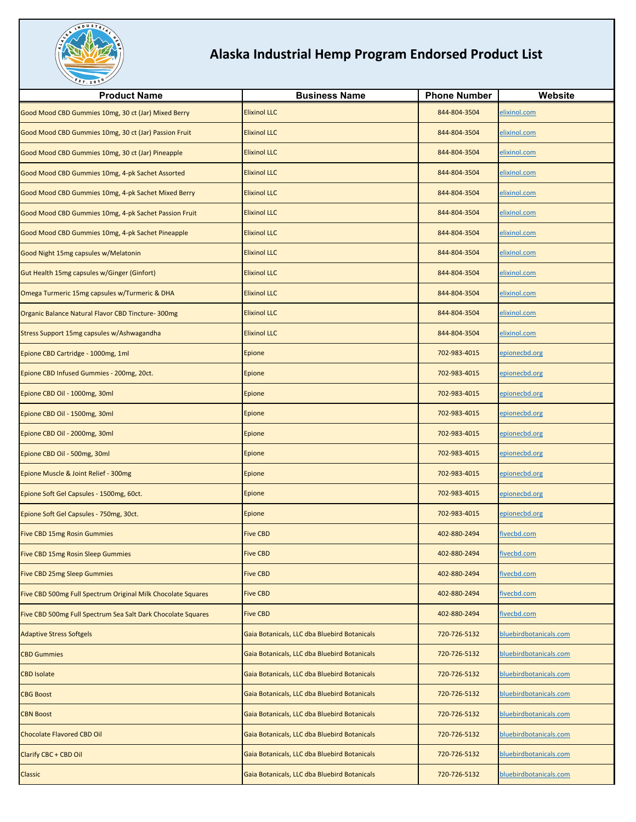

| <b>Product Name</b>                                          | <b>Business Name</b>                         | <b>Phone Number</b> | Website                |
|--------------------------------------------------------------|----------------------------------------------|---------------------|------------------------|
| Good Mood CBD Gummies 10mg, 30 ct (Jar) Mixed Berry          | <b>Elixinol LLC</b>                          | 844-804-3504        | elixinol.com           |
| Good Mood CBD Gummies 10mg, 30 ct (Jar) Passion Fruit        | <b>Elixinol LLC</b>                          | 844-804-3504        | elixinol.com           |
| Good Mood CBD Gummies 10mg, 30 ct (Jar) Pineapple            | <b>Elixinol LLC</b>                          | 844-804-3504        | elixinol.com           |
| Good Mood CBD Gummies 10mg, 4-pk Sachet Assorted             | <b>Elixinol LLC</b>                          | 844-804-3504        | elixinol.com           |
| Good Mood CBD Gummies 10mg, 4-pk Sachet Mixed Berry          | <b>Elixinol LLC</b>                          | 844-804-3504        | elixinol.com           |
| Good Mood CBD Gummies 10mg, 4-pk Sachet Passion Fruit        | <b>Elixinol LLC</b>                          | 844-804-3504        | elixinol.com           |
| Good Mood CBD Gummies 10mg, 4-pk Sachet Pineapple            | <b>Elixinol LLC</b>                          | 844-804-3504        | elixinol.com           |
| Good Night 15mg capsules w/Melatonin                         | <b>Elixinol LLC</b>                          | 844-804-3504        | elixinol.com           |
| Gut Health 15mg capsules w/Ginger (Ginfort)                  | <b>Elixinol LLC</b>                          | 844-804-3504        | elixinol.com           |
| Omega Turmeric 15mg capsules w/Turmeric & DHA                | <b>Elixinol LLC</b>                          | 844-804-3504        | elixinol.com           |
| Organic Balance Natural Flavor CBD Tincture-300mg            | <b>Elixinol LLC</b>                          | 844-804-3504        | elixinol.com           |
| Stress Support 15mg capsules w/Ashwagandha                   | <b>Elixinol LLC</b>                          | 844-804-3504        | elixinol.com           |
| Epione CBD Cartridge - 1000mg, 1ml                           | Epione                                       | 702-983-4015        | epionecbd.org          |
| Epione CBD Infused Gummies - 200mg, 20ct.                    | <b>Epione</b>                                | 702-983-4015        | epionecbd.org          |
| Epione CBD Oil - 1000mg, 30ml                                | Epione                                       | 702-983-4015        | epionecbd.org          |
| Epione CBD Oil - 1500mg, 30ml                                | Epione                                       | 702-983-4015        | epionecbd.org          |
| Epione CBD Oil - 2000mg, 30ml                                | <b>Epione</b>                                | 702-983-4015        | epionecbd.org          |
| Epione CBD Oil - 500mg, 30ml                                 | <b>Epione</b>                                | 702-983-4015        | epionecbd.org          |
| Epione Muscle & Joint Relief - 300mg                         | Epione                                       | 702-983-4015        | epionecbd.org          |
| Epione Soft Gel Capsules - 1500mg, 60ct.                     | <b>Epione</b>                                | 702-983-4015        | epionecbd.org          |
| Epione Soft Gel Capsules - 750mg, 30ct.                      | <b>Epione</b>                                | 702-983-4015        | epionecbd.org          |
| <b>Five CBD 15mg Rosin Gummies</b>                           | <b>Five CBD</b>                              | 402-880-2494        | ivecbd.com             |
| <b>Five CBD 15mg Rosin Sleep Gummies</b>                     | <b>Five CBD</b>                              | 402-880-2494        | fivecbd.com            |
| <b>Five CBD 25mg Sleep Gummies</b>                           | <b>Five CBD</b>                              | 402-880-2494        | fivecbd.com            |
| Five CBD 500mg Full Spectrum Original Milk Chocolate Squares | <b>Five CBD</b>                              | 402-880-2494        | fivecbd.com            |
| Five CBD 500mg Full Spectrum Sea Salt Dark Chocolate Squares | <b>Five CBD</b>                              | 402-880-2494        | fivecbd.com            |
| <b>Adaptive Stress Softgels</b>                              | Gaia Botanicals, LLC dba Bluebird Botanicals | 720-726-5132        | oluebirdbotanicals.com |
| <b>CBD Gummies</b>                                           | Gaia Botanicals, LLC dba Bluebird Botanicals | 720-726-5132        | bluebirdbotanicals.com |
| <b>CBD Isolate</b>                                           | Gaia Botanicals, LLC dba Bluebird Botanicals | 720-726-5132        | bluebirdbotanicals.com |
| <b>CBG Boost</b>                                             | Gaia Botanicals, LLC dba Bluebird Botanicals | 720-726-5132        | bluebirdbotanicals.com |
| <b>CBN Boost</b>                                             | Gaia Botanicals, LLC dba Bluebird Botanicals | 720-726-5132        | bluebirdbotanicals.com |
| <b>Chocolate Flavored CBD Oil</b>                            | Gaia Botanicals, LLC dba Bluebird Botanicals | 720-726-5132        | oluebirdbotanicals.com |
| Clarify CBC + CBD Oil                                        | Gaia Botanicals, LLC dba Bluebird Botanicals | 720-726-5132        | bluebirdbotanicals.com |
| Classic                                                      | Gaia Botanicals, LLC dba Bluebird Botanicals | 720-726-5132        | bluebirdbotanicals.com |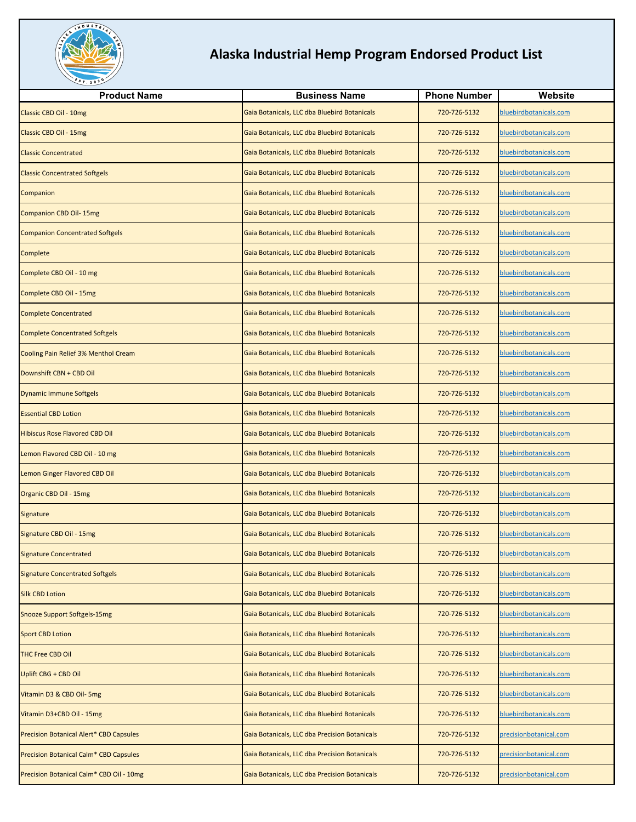

| <b>Product Name</b>                            | <b>Business Name</b>                          | <b>Phone Number</b> | Website                |
|------------------------------------------------|-----------------------------------------------|---------------------|------------------------|
| Classic CBD Oil - 10mg                         | Gaia Botanicals, LLC dba Bluebird Botanicals  | 720-726-5132        | bluebirdbotanicals.com |
| Classic CBD Oil - 15mg                         | Gaia Botanicals, LLC dba Bluebird Botanicals  | 720-726-5132        | bluebirdbotanicals.com |
| <b>Classic Concentrated</b>                    | Gaia Botanicals, LLC dba Bluebird Botanicals  | 720-726-5132        | bluebirdbotanicals.com |
| <b>Classic Concentrated Softgels</b>           | Gaia Botanicals, LLC dba Bluebird Botanicals  | 720-726-5132        | bluebirdbotanicals.com |
| Companion                                      | Gaia Botanicals, LLC dba Bluebird Botanicals  | 720-726-5132        | bluebirdbotanicals.com |
| <b>Companion CBD Oil-15mg</b>                  | Gaia Botanicals, LLC dba Bluebird Botanicals  | 720-726-5132        | bluebirdbotanicals.com |
| <b>Companion Concentrated Softgels</b>         | Gaia Botanicals, LLC dba Bluebird Botanicals  | 720-726-5132        | bluebirdbotanicals.com |
| Complete                                       | Gaia Botanicals, LLC dba Bluebird Botanicals  | 720-726-5132        | bluebirdbotanicals.com |
| Complete CBD Oil - 10 mg                       | Gaia Botanicals, LLC dba Bluebird Botanicals  | 720-726-5132        | bluebirdbotanicals.com |
| Complete CBD Oil - 15mg                        | Gaia Botanicals, LLC dba Bluebird Botanicals  | 720-726-5132        | bluebirdbotanicals.com |
| <b>Complete Concentrated</b>                   | Gaia Botanicals, LLC dba Bluebird Botanicals  | 720-726-5132        | bluebirdbotanicals.com |
| <b>Complete Concentrated Softgels</b>          | Gaia Botanicals, LLC dba Bluebird Botanicals  | 720-726-5132        | bluebirdbotanicals.com |
| Cooling Pain Relief 3% Menthol Cream           | Gaia Botanicals, LLC dba Bluebird Botanicals  | 720-726-5132        | bluebirdbotanicals.com |
| Downshift CBN + CBD Oil                        | Gaia Botanicals, LLC dba Bluebird Botanicals  | 720-726-5132        | bluebirdbotanicals.com |
| <b>Dynamic Immune Softgels</b>                 | Gaia Botanicals, LLC dba Bluebird Botanicals  | 720-726-5132        | bluebirdbotanicals.com |
| <b>Essential CBD Lotion</b>                    | Gaia Botanicals, LLC dba Bluebird Botanicals  | 720-726-5132        | bluebirdbotanicals.com |
| <b>Hibiscus Rose Flavored CBD Oil</b>          | Gaia Botanicals, LLC dba Bluebird Botanicals  | 720-726-5132        | bluebirdbotanicals.com |
| Lemon Flavored CBD Oil - 10 mg                 | Gaia Botanicals, LLC dba Bluebird Botanicals  | 720-726-5132        | bluebirdbotanicals.com |
| Lemon Ginger Flavored CBD Oil                  | Gaia Botanicals, LLC dba Bluebird Botanicals  | 720-726-5132        | bluebirdbotanicals.com |
| Organic CBD Oil - 15mg                         | Gaia Botanicals, LLC dba Bluebird Botanicals  | 720-726-5132        | bluebirdbotanicals.com |
| Signature                                      | Gaia Botanicals, LLC dba Bluebird Botanicals  | 720-726-5132        | bluebirdbotanicals.com |
| Signature CBD Oil - 15mg                       | Gaia Botanicals, LLC dba Bluebird Botanicals  | 720-726-5132        | bluebirdbotanicals.com |
| <b>Signature Concentrated</b>                  | Gaia Botanicals, LLC dba Bluebird Botanicals  | 720-726-5132        | bluebirdbotanicals.com |
| <b>Signature Concentrated Softgels</b>         | Gaia Botanicals, LLC dba Bluebird Botanicals  | 720-726-5132        | bluebirdbotanicals.com |
| <b>Silk CBD Lotion</b>                         | Gaia Botanicals, LLC dba Bluebird Botanicals  | 720-726-5132        | bluebirdbotanicals.com |
| <b>Snooze Support Softgels-15mg</b>            | Gaia Botanicals, LLC dba Bluebird Botanicals  | 720-726-5132        | bluebirdbotanicals.com |
| <b>Sport CBD Lotion</b>                        | Gaia Botanicals, LLC dba Bluebird Botanicals  | 720-726-5132        | bluebirdbotanicals.com |
| THC Free CBD Oil                               | Gaia Botanicals, LLC dba Bluebird Botanicals  | 720-726-5132        | bluebirdbotanicals.com |
| Uplift CBG + CBD Oil                           | Gaia Botanicals, LLC dba Bluebird Botanicals  | 720-726-5132        | bluebirdbotanicals.com |
| Vitamin D3 & CBD Oil- 5mg                      | Gaia Botanicals, LLC dba Bluebird Botanicals  | 720-726-5132        | bluebirdbotanicals.com |
| Vitamin D3+CBD Oil - 15mg                      | Gaia Botanicals, LLC dba Bluebird Botanicals  | 720-726-5132        | bluebirdbotanicals.com |
| <b>Precision Botanical Alert* CBD Capsules</b> | Gaia Botanicals, LLC dba Precision Botanicals | 720-726-5132        | precisionbotanical.com |
| Precision Botanical Calm* CBD Capsules         | Gaia Botanicals, LLC dba Precision Botanicals | 720-726-5132        | precisionbotanical.com |
| Precision Botanical Calm* CBD Oil - 10mg       | Gaia Botanicals, LLC dba Precision Botanicals | 720-726-5132        | precisionbotanical.com |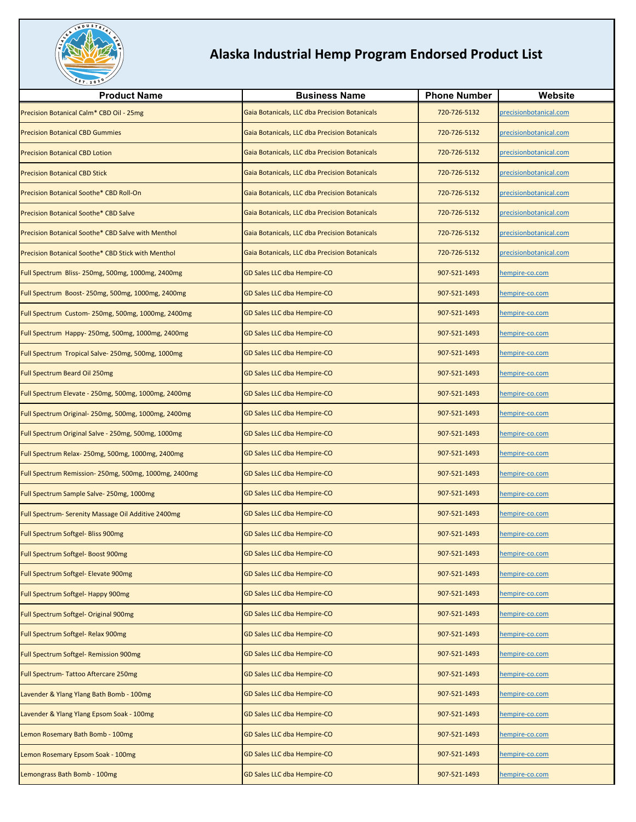

| <b>Product Name</b>                                  | <b>Business Name</b>                          | <b>Phone Number</b> | Website                |
|------------------------------------------------------|-----------------------------------------------|---------------------|------------------------|
| Precision Botanical Calm* CBD Oil - 25mg             | Gaia Botanicals, LLC dba Precision Botanicals | 720-726-5132        | precisionbotanical.com |
| <b>Precision Botanical CBD Gummies</b>               | Gaia Botanicals, LLC dba Precision Botanicals | 720-726-5132        | precisionbotanical.com |
| <b>Precision Botanical CBD Lotion</b>                | Gaia Botanicals, LLC dba Precision Botanicals | 720-726-5132        | precisionbotanical.com |
| <b>Precision Botanical CBD Stick</b>                 | Gaia Botanicals, LLC dba Precision Botanicals | 720-726-5132        | precisionbotanical.com |
| Precision Botanical Soothe* CBD Roll-On              | Gaia Botanicals, LLC dba Precision Botanicals | 720-726-5132        | precisionbotanical.com |
| Precision Botanical Soothe* CBD Salve                | Gaia Botanicals, LLC dba Precision Botanicals | 720-726-5132        | precisionbotanical.com |
| Precision Botanical Soothe* CBD Salve with Menthol   | Gaia Botanicals, LLC dba Precision Botanicals | 720-726-5132        | precisionbotanical.com |
| Precision Botanical Soothe* CBD Stick with Menthol   | Gaia Botanicals, LLC dba Precision Botanicals | 720-726-5132        | precisionbotanical.com |
| Full Spectrum Bliss-250mg, 500mg, 1000mg, 2400mg     | GD Sales LLC dba Hempire-CO                   | 907-521-1493        | hempire-co.com         |
| Full Spectrum Boost-250mg, 500mg, 1000mg, 2400mg     | GD Sales LLC dba Hempire-CO                   | 907-521-1493        | nempire-co.com         |
| Full Spectrum Custom-250mg, 500mg, 1000mg, 2400mg    | GD Sales LLC dba Hempire-CO                   | 907-521-1493        | nempire-co.com         |
| Full Spectrum Happy-250mg, 500mg, 1000mg, 2400mg     | GD Sales LLC dba Hempire-CO                   | 907-521-1493        | nempire-co.com         |
| Full Spectrum Tropical Salve- 250mg, 500mg, 1000mg   | GD Sales LLC dba Hempire-CO                   | 907-521-1493        | nempire-co.com         |
| <b>Full Spectrum Beard Oil 250mg</b>                 | GD Sales LLC dba Hempire-CO                   | 907-521-1493        | hempire-co.com         |
| Full Spectrum Elevate - 250mg, 500mg, 1000mg, 2400mg | GD Sales LLC dba Hempire-CO                   | 907-521-1493        | nempire-co.com         |
| Full Spectrum Original- 250mg, 500mg, 1000mg, 2400mg | GD Sales LLC dba Hempire-CO                   | 907-521-1493        | nempire-co.com         |
| Full Spectrum Original Salve - 250mg, 500mg, 1000mg  | GD Sales LLC dba Hempire-CO                   | 907-521-1493        | hempire-co.com         |
| Full Spectrum Relax-250mg, 500mg, 1000mg, 2400mg     | GD Sales LLC dba Hempire-CO                   | 907-521-1493        | nempire-co.com         |
| Full Spectrum Remission-250mg, 500mg, 1000mg, 2400mg | GD Sales LLC dba Hempire-CO                   | 907-521-1493        | nempire-co.com         |
| Full Spectrum Sample Salve-250mg, 1000mg             | GD Sales LLC dba Hempire-CO                   | 907-521-1493        | nempire-co.com         |
| Full Spectrum-Serenity Massage Oil Additive 2400mg   | GD Sales LLC dba Hempire-CO                   | 907-521-1493        | nempire-co.com         |
| Full Spectrum Softgel- Bliss 900mg                   | GD Sales LLC dba Hempire-CO                   | 907-521-1493        | nempire-co.com         |
| Full Spectrum Softgel- Boost 900mg                   | GD Sales LLC dba Hempire-CO                   | 907-521-1493        | hempire-co.com         |
| Full Spectrum Softgel- Elevate 900mg                 | <b>GD Sales LLC dba Hempire-CO</b>            | 907-521-1493        | nempire-co.com         |
| Full Spectrum Softgel- Happy 900mg                   | GD Sales LLC dba Hempire-CO                   | 907-521-1493        | hempire-co.com         |
| Full Spectrum Softgel- Original 900mg                | GD Sales LLC dba Hempire-CO                   | 907-521-1493        | nempire-co.com         |
| Full Spectrum Softgel- Relax 900mg                   | GD Sales LLC dba Hempire-CO                   | 907-521-1493        | nempire-co.com         |
| Full Spectrum Softgel- Remission 900mg               | GD Sales LLC dba Hempire-CO                   | 907-521-1493        | nempire-co.com         |
| Full Spectrum-Tattoo Aftercare 250mg                 | GD Sales LLC dba Hempire-CO                   | 907-521-1493        | nempire-co.com         |
| Lavender & Ylang Ylang Bath Bomb - 100mg             | GD Sales LLC dba Hempire-CO                   | 907-521-1493        | empire-co.com          |
| Lavender & Ylang Ylang Epsom Soak - 100mg            | GD Sales LLC dba Hempire-CO                   | 907-521-1493        | nempire-co.com         |
| Lemon Rosemary Bath Bomb - 100mg                     | GD Sales LLC dba Hempire-CO                   | 907-521-1493        | nempire-co.com         |
| Lemon Rosemary Epsom Soak - 100mg                    | GD Sales LLC dba Hempire-CO                   | 907-521-1493        | nempire-co.com         |
| Lemongrass Bath Bomb - 100mg                         | GD Sales LLC dba Hempire-CO                   | 907-521-1493        | nempire-co.com         |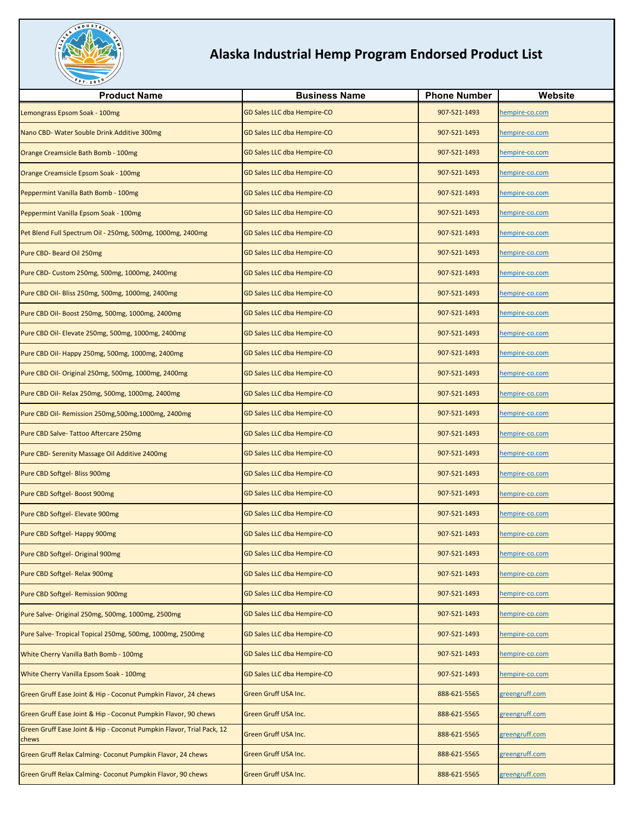

| <b>Product Name</b>                                                            | <b>Business Name</b>        | <b>Phone Number</b> | Website        |
|--------------------------------------------------------------------------------|-----------------------------|---------------------|----------------|
| Lemongrass Epsom Soak - 100mg                                                  | GD Sales LLC dba Hempire-CO | 907-521-1493        | hempire-co.com |
| Nano CBD- Water Souble Drink Additive 300mg                                    | GD Sales LLC dba Hempire-CO | 907-521-1493        | hempire-co.com |
| Orange Creamsicle Bath Bomb - 100mg                                            | GD Sales LLC dba Hempire-CO | 907-521-1493        | empire-co.com  |
| Orange Creamsicle Epsom Soak - 100mg                                           | GD Sales LLC dba Hempire-CO | 907-521-1493        | hempire-co.com |
| Peppermint Vanilla Bath Bomb - 100mg                                           | GD Sales LLC dba Hempire-CO | 907-521-1493        | hempire-co.com |
| Peppermint Vanilla Epsom Soak - 100mg                                          | GD Sales LLC dba Hempire-CO | 907-521-1493        | hempire-co.com |
| Pet Blend Full Spectrum Oil - 250mg, 500mg, 1000mg, 2400mg                     | GD Sales LLC dba Hempire-CO | 907-521-1493        | nempire-co.com |
| Pure CBD- Beard Oil 250mg                                                      | GD Sales LLC dba Hempire-CO | 907-521-1493        | empire-co.com  |
| Pure CBD- Custom 250mg, 500mg, 1000mg, 2400mg                                  | GD Sales LLC dba Hempire-CO | 907-521-1493        | nempire-co.com |
| Pure CBD Oil- Bliss 250mg, 500mg, 1000mg, 2400mg                               | GD Sales LLC dba Hempire-CO | 907-521-1493        | hempire-co.com |
| Pure CBD Oil- Boost 250mg, 500mg, 1000mg, 2400mg                               | GD Sales LLC dba Hempire-CO | 907-521-1493        | hempire-co.com |
| Pure CBD Oil- Elevate 250mg, 500mg, 1000mg, 2400mg                             | GD Sales LLC dba Hempire-CO | 907-521-1493        | nempire-co.com |
| Pure CBD Oil- Happy 250mg, 500mg, 1000mg, 2400mg                               | GD Sales LLC dba Hempire-CO | 907-521-1493        | nempire-co.com |
| Pure CBD Oil- Original 250mg, 500mg, 1000mg, 2400mg                            | GD Sales LLC dba Hempire-CO | 907-521-1493        | hempire-co.com |
| Pure CBD Oil- Relax 250mg, 500mg, 1000mg, 2400mg                               | GD Sales LLC dba Hempire-CO | 907-521-1493        | hempire-co.com |
| Pure CBD Oil- Remission 250mg,500mg,1000mg, 2400mg                             | GD Sales LLC dba Hempire-CO | 907-521-1493        | nempire-co.com |
| Pure CBD Salve-Tattoo Aftercare 250mg                                          | GD Sales LLC dba Hempire-CO | 907-521-1493        | nempire-co.com |
| Pure CBD- Serenity Massage Oil Additive 2400mg                                 | GD Sales LLC dba Hempire-CO | 907-521-1493        | empire-co.com  |
| Pure CBD Softgel- Bliss 900mg                                                  | GD Sales LLC dba Hempire-CO | 907-521-1493        | hempire-co.com |
| Pure CBD Softgel- Boost 900mg                                                  | GD Sales LLC dba Hempire-CO | 907-521-1493        | nempire-co.com |
| Pure CBD Softgel- Elevate 900mg                                                | GD Sales LLC dba Hempire-CO | 907-521-1493        | empire-co.com  |
| Pure CBD Softgel- Happy 900mg                                                  | GD Sales LLC dba Hempire-CO | 907-521-1493        | hempire-co.com |
| Pure CBD Softgel- Original 900mg                                               | GD Sales LLC dba Hempire-CO | 907-521-1493        | hempire-co.com |
| Pure CBD Softgel- Relax 900mg                                                  | GD Sales LLC dba Hempire-CO | 907-521-1493        | hempire-co.com |
| Pure CBD Softgel-Remission 900mg                                               | GD Sales LLC dba Hempire-CO | 907-521-1493        | nempire-co.com |
| Pure Salve- Original 250mg, 500mg, 1000mg, 2500mg                              | GD Sales LLC dba Hempire-CO | 907-521-1493        | hempire-co.com |
| Pure Salve- Tropical Topical 250mg, 500mg, 1000mg, 2500mg                      | GD Sales LLC dba Hempire-CO | 907-521-1493        | hempire-co.com |
| White Cherry Vanilla Bath Bomb - 100mg                                         | GD Sales LLC dba Hempire-CO | 907-521-1493        | hempire-co.com |
| <b>White Cherry Vanilla Epsom Soak - 100mg</b>                                 | GD Sales LLC dba Hempire-CO | 907-521-1493        | empire-co.com  |
| Green Gruff Ease Joint & Hip - Coconut Pumpkin Flavor, 24 chews                | Green Gruff USA Inc.        | 888-621-5565        | greengruff.com |
| Green Gruff Ease Joint & Hip - Coconut Pumpkin Flavor, 90 chews                | Green Gruff USA Inc.        | 888-621-5565        | greengruff.com |
| Green Gruff Ease Joint & Hip - Coconut Pumpkin Flavor, Trial Pack, 12<br>chews | Green Gruff USA Inc.        | 888-621-5565        | greengruff.com |
| Green Gruff Relax Calming- Coconut Pumpkin Flavor, 24 chews                    | Green Gruff USA Inc.        | 888-621-5565        | greengruff.com |
| Green Gruff Relax Calming- Coconut Pumpkin Flavor, 90 chews                    | Green Gruff USA Inc.        | 888-621-5565        | greengruff.com |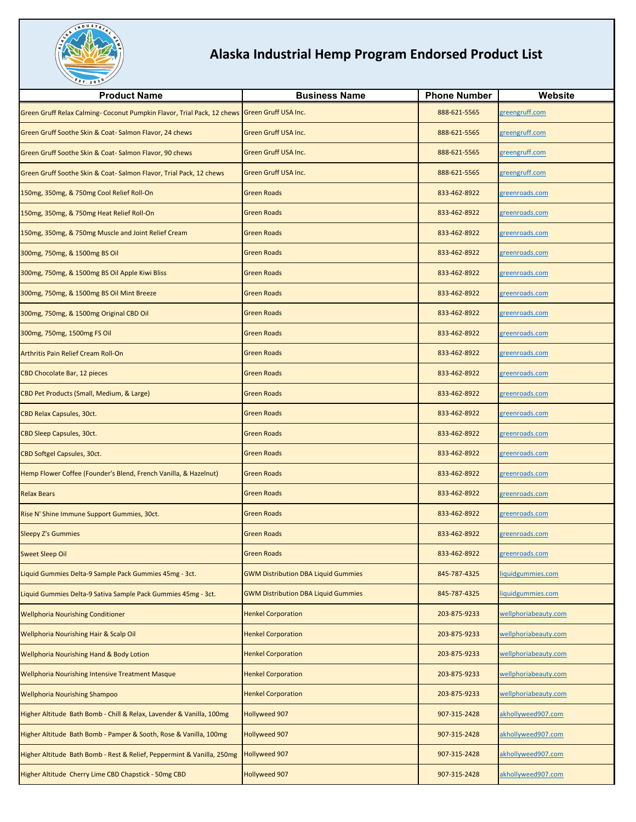

| <b>Product Name</b>                                                                          | <b>Business Name</b>                       | <b>Phone Number</b> | Website               |
|----------------------------------------------------------------------------------------------|--------------------------------------------|---------------------|-----------------------|
| Green Gruff Relax Calming- Coconut Pumpkin Flavor, Trial Pack, 12 chews Green Gruff USA Inc. |                                            | 888-621-5565        | greengruff.com        |
| Green Gruff Soothe Skin & Coat-Salmon Flavor, 24 chews                                       | Green Gruff USA Inc.                       | 888-621-5565        | greengruff.com        |
| Green Gruff Soothe Skin & Coat-Salmon Flavor, 90 chews                                       | Green Gruff USA Inc.                       | 888-621-5565        | greengruff.com        |
| Green Gruff Soothe Skin & Coat-Salmon Flavor, Trial Pack, 12 chews                           | Green Gruff USA Inc.                       | 888-621-5565        | greengruff.com        |
| 150mg, 350mg, & 750mg Cool Relief Roll-On                                                    | <b>Green Roads</b>                         | 833-462-8922        | greenroads.com        |
| 150mg, 350mg, & 750mg Heat Relief Roll-On                                                    | <b>Green Roads</b>                         | 833-462-8922        | greenroads.com        |
| 150mg, 350mg, & 750mg Muscle and Joint Relief Cream                                          | <b>Green Roads</b>                         | 833-462-8922        | <u>greenroads.com</u> |
| 300mg, 750mg, & 1500mg BS Oil                                                                | Green Roads                                | 833-462-8922        | <u>greenroads.com</u> |
| 300mg, 750mg, & 1500mg BS Oil Apple Kiwi Bliss                                               | <b>Green Roads</b>                         | 833-462-8922        | greenroads.com        |
| 300mg, 750mg, & 1500mg BS Oil Mint Breeze                                                    | <b>Green Roads</b>                         | 833-462-8922        | greenroads.com        |
| 300mg, 750mg, & 1500mg Original CBD Oil                                                      | <b>Green Roads</b>                         | 833-462-8922        | <u>reenroads.com</u>  |
| 300mg, 750mg, 1500mg FS Oil                                                                  | <b>Green Roads</b>                         | 833-462-8922        | <u>greenroads.com</u> |
| Arthritis Pain Relief Cream Roll-On                                                          | <b>Green Roads</b>                         | 833-462-8922        | greenroads.com        |
| CBD Chocolate Bar, 12 pieces                                                                 | <b>Green Roads</b>                         | 833-462-8922        | greenroads.com        |
| CBD Pet Products (Small, Medium, & Large)                                                    | <b>Green Roads</b>                         | 833-462-8922        | greenroads.com        |
| CBD Relax Capsules, 30ct.                                                                    | Green Roads                                | 833-462-8922        | <u>greenroads.com</u> |
| CBD Sleep Capsules, 30ct.                                                                    | <b>Green Roads</b>                         | 833-462-8922        | <u>greenroads.com</u> |
| CBD Softgel Capsules, 30ct.                                                                  | <b>Green Roads</b>                         | 833-462-8922        | greenroads.com        |
| Hemp Flower Coffee (Founder's Blend, French Vanilla, & Hazelnut)                             | <b>Green Roads</b>                         | 833-462-8922        | greenroads.com        |
| <b>Relax Bears</b>                                                                           | <b>Green Roads</b>                         | 833-462-8922        | <u>greenroads.com</u> |
| Rise N' Shine Immune Support Gummies, 30ct.                                                  | <b>Green Roads</b>                         | 833-462-8922        | <u>greenroads.com</u> |
| <b>Sleepy Z's Gummies</b>                                                                    | <b>Green Roads</b>                         | 833-462-8922        | greenroads.com        |
| <b>Sweet Sleep Oil</b>                                                                       | <b>Green Roads</b>                         | 833-462-8922        | greenroads.com        |
| Liquid Gummies Delta-9 Sample Pack Gummies 45mg - 3ct.                                       | <b>GWM Distribution DBA Liquid Gummies</b> | 845-787-4325        | iquidgummies.com      |
| Liquid Gummies Delta-9 Sativa Sample Pack Gummies 45mg - 3ct.                                | <b>GWM Distribution DBA Liquid Gummies</b> | 845-787-4325        | iquidgummies.com      |
| <b>Wellphoria Nourishing Conditioner</b>                                                     | <b>Henkel Corporation</b>                  | 203-875-9233        | wellphoriabeauty.com  |
| <b>Wellphoria Nourishing Hair &amp; Scalp Oil</b>                                            | <b>Henkel Corporation</b>                  | 203-875-9233        | wellphoriabeauty.com  |
| <b>Wellphoria Nourishing Hand &amp; Body Lotion</b>                                          | <b>Henkel Corporation</b>                  | 203-875-9233        | wellphoriabeauty.com  |
| <b>Wellphoria Nourishing Intensive Treatment Masque</b>                                      | <b>Henkel Corporation</b>                  | 203-875-9233        | wellphoriabeauty.com  |
| <b>Wellphoria Nourishing Shampoo</b>                                                         | <b>Henkel Corporation</b>                  | 203-875-9233        | wellphoriabeauty.com  |
| Higher Altitude Bath Bomb - Chill & Relax, Lavender & Vanilla, 100mg                         | <b>Hollyweed 907</b>                       | 907-315-2428        | akhollyweed907.com    |
| Higher Altitude Bath Bomb - Pamper & Sooth, Rose & Vanilla, 100mg                            | Hollyweed 907                              | 907-315-2428        | akhollyweed907.com    |
| Higher Altitude Bath Bomb - Rest & Relief, Peppermint & Vanilla, 250mg                       | <b>Hollyweed 907</b>                       | 907-315-2428        | akhollyweed907.com    |
| Higher Altitude Cherry Lime CBD Chapstick - 50mg CBD                                         | <b>Hollyweed 907</b>                       | 907-315-2428        | akhollyweed907.com    |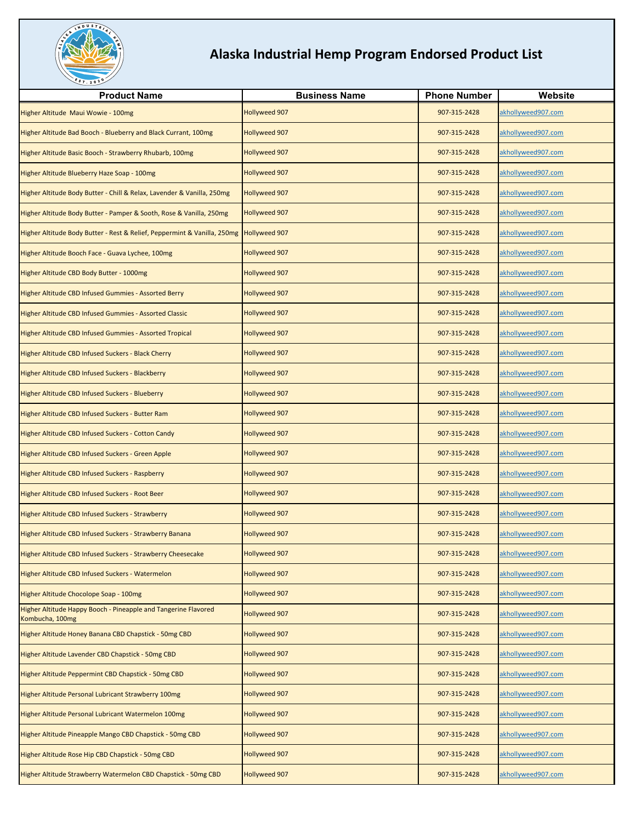

| <b>Product Name</b>                                                                    | <b>Business Name</b> | <b>Phone Number</b> | Website            |
|----------------------------------------------------------------------------------------|----------------------|---------------------|--------------------|
| Higher Altitude Maui Wowie - 100mg                                                     | Hollyweed 907        | 907-315-2428        | akhollyweed907.com |
| Higher Altitude Bad Booch - Blueberry and Black Currant, 100mg                         | Hollyweed 907        | 907-315-2428        | akhollyweed907.com |
| Higher Altitude Basic Booch - Strawberry Rhubarb, 100mg                                | Hollyweed 907        | 907-315-2428        | akhollyweed907.com |
| Higher Altitude Blueberry Haze Soap - 100mg                                            | Hollyweed 907        | 907-315-2428        | akhollyweed907.com |
| Higher Altitude Body Butter - Chill & Relax, Lavender & Vanilla, 250mg                 | Hollyweed 907        | 907-315-2428        | akhollyweed907.com |
| Higher Altitude Body Butter - Pamper & Sooth, Rose & Vanilla, 250mg                    | Hollyweed 907        | 907-315-2428        | akhollyweed907.com |
| Higher Altitude Body Butter - Rest & Relief, Peppermint & Vanilla, 250mg Hollyweed 907 |                      | 907-315-2428        | akhollyweed907.com |
| Higher Altitude Booch Face - Guava Lychee, 100mg                                       | Hollyweed 907        | 907-315-2428        | akhollyweed907.com |
| Higher Altitude CBD Body Butter - 1000mg                                               | Hollyweed 907        | 907-315-2428        | akhollyweed907.com |
| Higher Altitude CBD Infused Gummies - Assorted Berry                                   | Hollyweed 907        | 907-315-2428        | akhollyweed907.com |
| Higher Altitude CBD Infused Gummies - Assorted Classic                                 | <b>Hollyweed 907</b> | 907-315-2428        | akhollyweed907.com |
| Higher Altitude CBD Infused Gummies - Assorted Tropical                                | Hollyweed 907        | 907-315-2428        | akhollyweed907.com |
| Higher Altitude CBD Infused Suckers - Black Cherry                                     | Hollyweed 907        | 907-315-2428        | akhollyweed907.com |
| Higher Altitude CBD Infused Suckers - Blackberry                                       | Hollyweed 907        | 907-315-2428        | akhollyweed907.com |
| Higher Altitude CBD Infused Suckers - Blueberry                                        | Hollyweed 907        | 907-315-2428        | akhollyweed907.com |
| Higher Altitude CBD Infused Suckers - Butter Ram                                       | Hollyweed 907        | 907-315-2428        | akhollyweed907.com |
| Higher Altitude CBD Infused Suckers - Cotton Candy                                     | Hollyweed 907        | 907-315-2428        | akhollyweed907.com |
| Higher Altitude CBD Infused Suckers - Green Apple                                      | <b>Hollyweed 907</b> | 907-315-2428        | akhollyweed907.com |
| Higher Altitude CBD Infused Suckers - Raspberry                                        | Hollyweed 907        | 907-315-2428        | akhollyweed907.com |
| Higher Altitude CBD Infused Suckers - Root Beer                                        | Hollyweed 907        | 907-315-2428        | akhollyweed907.com |
| Higher Altitude CBD Infused Suckers - Strawberry                                       | Hollyweed 907        | 907-315-2428        | akhollyweed907.com |
| Higher Altitude CBD Infused Suckers - Strawberry Banana                                | Hollyweed 907        | 907-315-2428        | akhollyweed907.com |
| Higher Altitude CBD Infused Suckers - Strawberry Cheesecake                            | <b>Hollyweed 907</b> | 907-315-2428        | akhollyweed907.com |
| Higher Altitude CBD Infused Suckers - Watermelon                                       | Hollyweed 907        | 907-315-2428        | akhollyweed907.com |
| Higher Altitude Chocolope Soap - 100mg                                                 | Hollyweed 907        | 907-315-2428        | akhollyweed907.com |
| Higher Altitude Happy Booch - Pineapple and Tangerine Flavored<br>Kombucha, 100mg      | Hollyweed 907        | 907-315-2428        | akhollyweed907.com |
| Higher Altitude Honey Banana CBD Chapstick - 50mg CBD                                  | Hollyweed 907        | 907-315-2428        | akhollyweed907.com |
| Higher Altitude Lavender CBD Chapstick - 50mg CBD                                      | Hollyweed 907        | 907-315-2428        | akhollyweed907.com |
| Higher Altitude Peppermint CBD Chapstick - 50mg CBD                                    | Hollyweed 907        | 907-315-2428        | akhollyweed907.com |
| Higher Altitude Personal Lubricant Strawberry 100mg                                    | Hollyweed 907        | 907-315-2428        | akhollyweed907.com |
| Higher Altitude Personal Lubricant Watermelon 100mg                                    | Hollyweed 907        | 907-315-2428        | akhollyweed907.com |
| Higher Altitude Pineapple Mango CBD Chapstick - 50mg CBD                               | Hollyweed 907        | 907-315-2428        | akhollyweed907.com |
| Higher Altitude Rose Hip CBD Chapstick - 50mg CBD                                      | Hollyweed 907        | 907-315-2428        | akhollyweed907.com |
| Higher Altitude Strawberry Watermelon CBD Chapstick - 50mg CBD                         | Hollyweed 907        | 907-315-2428        | akhollyweed907.com |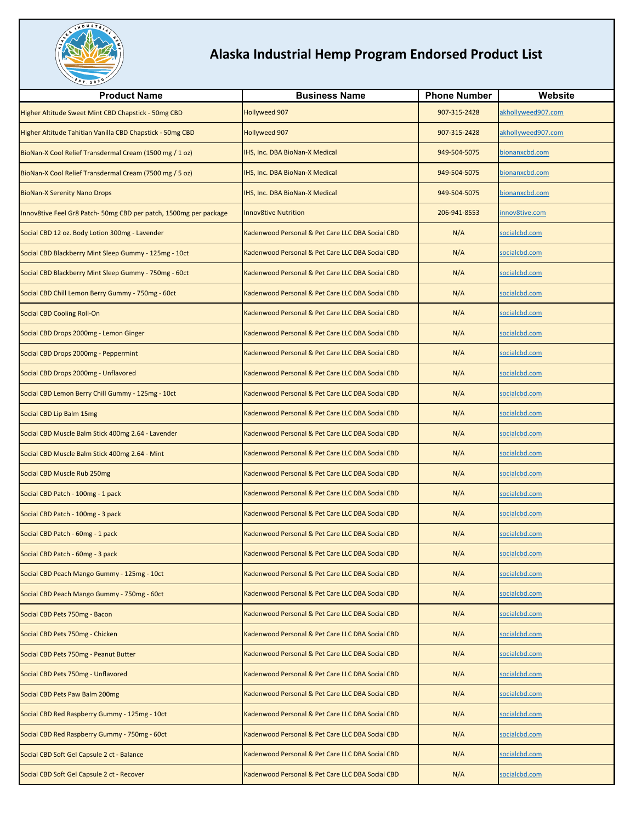

| <b>Product Name</b>                                              | <b>Business Name</b>                                        | <b>Phone Number</b> | Website            |
|------------------------------------------------------------------|-------------------------------------------------------------|---------------------|--------------------|
| Higher Altitude Sweet Mint CBD Chapstick - 50mg CBD              | Hollyweed 907                                               | 907-315-2428        | akhollyweed907.com |
| Higher Altitude Tahitian Vanilla CBD Chapstick - 50mg CBD        | Hollyweed 907                                               | 907-315-2428        | akhollyweed907.com |
| BioNan-X Cool Relief Transdermal Cream (1500 mg / 1 oz)          | <b>IHS, Inc. DBA BioNan-X Medical</b>                       | 949-504-5075        | bionanxcbd.com     |
| BioNan-X Cool Relief Transdermal Cream (7500 mg / 5 oz)          | IHS, Inc. DBA BioNan-X Medical                              | 949-504-5075        | bionanxcbd.com     |
| <b>BioNan-X Serenity Nano Drops</b>                              | IHS, Inc. DBA BioNan-X Medical                              | 949-504-5075        | bionanxcbd.com     |
| Innov8tive Feel Gr8 Patch-50mg CBD per patch, 1500mg per package | <b>Innov8tive Nutrition</b>                                 | 206-941-8553        | nnov8tive.com      |
| Social CBD 12 oz. Body Lotion 300mg - Lavender                   | Kadenwood Personal & Pet Care LLC DBA Social CBD            | N/A                 | socialcbd.com      |
| Social CBD Blackberry Mint Sleep Gummy - 125mg - 10ct            | <b>Cadenwood Personal &amp; Pet Care LLC DBA Social CBD</b> | N/A                 | socialcbd.com      |
| Social CBD Blackberry Mint Sleep Gummy - 750mg - 60ct            | Kadenwood Personal & Pet Care LLC DBA Social CBD            | N/A                 | socialcbd.com      |
| Social CBD Chill Lemon Berry Gummy - 750mg - 60ct                | Kadenwood Personal & Pet Care LLC DBA Social CBD            | N/A                 | socialcbd.com      |
| <b>Social CBD Cooling Roll-On</b>                                | <b>Cadenwood Personal &amp; Pet Care LLC DBA Social CBD</b> | N/A                 | socialcbd.com      |
| Social CBD Drops 2000mg - Lemon Ginger                           | <b>Cadenwood Personal &amp; Pet Care LLC DBA Social CBD</b> | N/A                 | socialcbd.com      |
| Social CBD Drops 2000mg - Peppermint                             | <b>Cadenwood Personal &amp; Pet Care LLC DBA Social CBD</b> | N/A                 | socialcbd.com      |
| Social CBD Drops 2000mg - Unflavored                             | Kadenwood Personal & Pet Care LLC DBA Social CBD            | N/A                 | socialcbd.com      |
| Social CBD Lemon Berry Chill Gummy - 125mg - 10ct                | <b>Cadenwood Personal &amp; Pet Care LLC DBA Social CBD</b> | N/A                 | socialcbd.com      |
| Social CBD Lip Balm 15mg                                         | <b>Kadenwood Personal &amp; Pet Care LLC DBA Social CBD</b> | N/A                 | socialcbd.com      |
| Social CBD Muscle Balm Stick 400mg 2.64 - Lavender               | <b>Cadenwood Personal &amp; Pet Care LLC DBA Social CBD</b> | N/A                 | socialcbd.com      |
| Social CBD Muscle Balm Stick 400mg 2.64 - Mint                   | <b>Cadenwood Personal &amp; Pet Care LLC DBA Social CBD</b> | N/A                 | socialcbd.com      |
| Social CBD Muscle Rub 250mg                                      | Kadenwood Personal & Pet Care LLC DBA Social CBD            | N/A                 | socialcbd.com      |
| Social CBD Patch - 100mg - 1 pack                                | <b>Cadenwood Personal &amp; Pet Care LLC DBA Social CBD</b> | N/A                 | socialcbd.com      |
| Social CBD Patch - 100mg - 3 pack                                | <b>Kadenwood Personal &amp; Pet Care LLC DBA Social CBD</b> | N/A                 | socialcbd.com      |
| Social CBD Patch - 60mg - 1 pack                                 | <b>Cadenwood Personal &amp; Pet Care LLC DBA Social CBD</b> | N/A                 | socialcbd.com      |
| Social CBD Patch - 60mg - 3 pack                                 | Kadenwood Personal & Pet Care LLC DBA Social CBD            | N/A                 | socialcbd.com      |
| Social CBD Peach Mango Gummy - 125mg - 10ct                      | Kadenwood Personal & Pet Care LLC DBA Social CBD            | N/A                 | socialcbd.com      |
| Social CBD Peach Mango Gummy - 750mg - 60ct                      | Kadenwood Personal & Pet Care LLC DBA Social CBD            | N/A                 | socialcbd.com      |
| Social CBD Pets 750mg - Bacon                                    | <b>Cadenwood Personal &amp; Pet Care LLC DBA Social CBD</b> | N/A                 | socialcbd.com      |
| Social CBD Pets 750mg - Chicken                                  | <b>Cadenwood Personal &amp; Pet Care LLC DBA Social CBD</b> | N/A                 | socialcbd.com      |
| Social CBD Pets 750mg - Peanut Butter                            | Kadenwood Personal & Pet Care LLC DBA Social CBD            | N/A                 | socialcbd.com      |
| Social CBD Pets 750mg - Unflavored                               | <b>Cadenwood Personal &amp; Pet Care LLC DBA Social CBD</b> | N/A                 | socialcbd.com      |
| Social CBD Pets Paw Balm 200mg                                   | Kadenwood Personal & Pet Care LLC DBA Social CBD            | N/A                 | socialcbd.com      |
| Social CBD Red Raspberry Gummy - 125mg - 10ct                    | <b>Cadenwood Personal &amp; Pet Care LLC DBA Social CBD</b> | N/A                 | socialcbd.com      |
| Social CBD Red Raspberry Gummy - 750mg - 60ct                    | Kadenwood Personal & Pet Care LLC DBA Social CBD            | N/A                 | socialcbd.com      |
| Social CBD Soft Gel Capsule 2 ct - Balance                       | Kadenwood Personal & Pet Care LLC DBA Social CBD            | N/A                 | socialcbd.com      |
| Social CBD Soft Gel Capsule 2 ct - Recover                       | Kadenwood Personal & Pet Care LLC DBA Social CBD            | N/A                 | socialcbd.com      |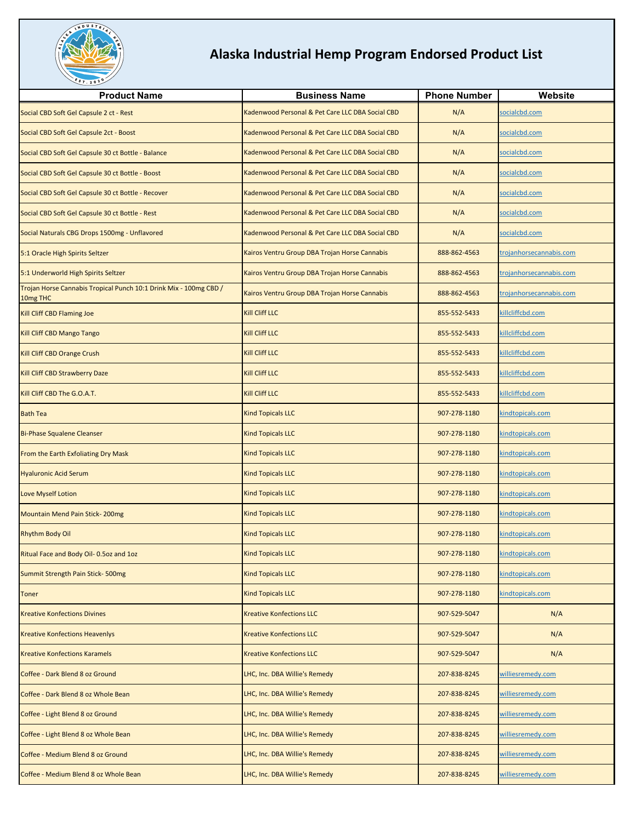

| <b>Product Name</b>                                                           | <b>Business Name</b>                             | <b>Phone Number</b> | Website                 |
|-------------------------------------------------------------------------------|--------------------------------------------------|---------------------|-------------------------|
| Social CBD Soft Gel Capsule 2 ct - Rest                                       | Kadenwood Personal & Pet Care LLC DBA Social CBD | N/A                 | socialcbd.com           |
| Social CBD Soft Gel Capsule 2ct - Boost                                       | Kadenwood Personal & Pet Care LLC DBA Social CBD | N/A                 | socialcbd.com           |
| Social CBD Soft Gel Capsule 30 ct Bottle - Balance                            | Kadenwood Personal & Pet Care LLC DBA Social CBD | N/A                 | socialcbd.com           |
| Social CBD Soft Gel Capsule 30 ct Bottle - Boost                              | Kadenwood Personal & Pet Care LLC DBA Social CBD | N/A                 | socialcbd.com           |
| Social CBD Soft Gel Capsule 30 ct Bottle - Recover                            | Kadenwood Personal & Pet Care LLC DBA Social CBD | N/A                 | socialcbd.com           |
| Social CBD Soft Gel Capsule 30 ct Bottle - Rest                               | Kadenwood Personal & Pet Care LLC DBA Social CBD | N/A                 | socialcbd.com           |
| Social Naturals CBG Drops 1500mg - Unflavored                                 | Kadenwood Personal & Pet Care LLC DBA Social CBD | N/A                 | socialcbd.com           |
| 5:1 Oracle High Spirits Seltzer                                               | Kairos Ventru Group DBA Trojan Horse Cannabis    | 888-862-4563        | trojanhorsecannabis.com |
| 5:1 Underworld High Spirits Seltzer                                           | Kairos Ventru Group DBA Trojan Horse Cannabis    | 888-862-4563        | trojanhorsecannabis.com |
| Trojan Horse Cannabis Tropical Punch 10:1 Drink Mix - 100mg CBD /<br>10mg THC | Kairos Ventru Group DBA Trojan Horse Cannabis    | 888-862-4563        | trojanhorsecannabis.com |
| Kill Cliff CBD Flaming Joe                                                    | <b>Kill Cliff LLC</b>                            | 855-552-5433        | killcliffcbd.com        |
| Kill Cliff CBD Mango Tango                                                    | <b>Kill Cliff LLC</b>                            | 855-552-5433        | killcliffcbd.com        |
| Kill Cliff CBD Orange Crush                                                   | <b>Kill Cliff LLC</b>                            | 855-552-5433        | killcliffcbd.com        |
| Kill Cliff CBD Strawberry Daze                                                | <b>Kill Cliff LLC</b>                            | 855-552-5433        | killcliffcbd.com        |
| Kill Cliff CBD The G.O.A.T.                                                   | <b>Kill Cliff LLC</b>                            | 855-552-5433        | killcliffcbd.com        |
| <b>Bath Tea</b>                                                               | <b>Kind Topicals LLC</b>                         | 907-278-1180        | kindtopicals.com        |
| <b>Bi-Phase Squalene Cleanser</b>                                             | <b>Kind Topicals LLC</b>                         | 907-278-1180        | kindtopicals.com        |
| From the Earth Exfoliating Dry Mask                                           | <b>Kind Topicals LLC</b>                         | 907-278-1180        | kindtopicals.com        |
| <b>Hyaluronic Acid Serum</b>                                                  | <b>Kind Topicals LLC</b>                         | 907-278-1180        | kindtopicals.com        |
| <b>Love Myself Lotion</b>                                                     | <b>Kind Topicals LLC</b>                         | 907-278-1180        | kindtopicals.com        |
| Mountain Mend Pain Stick-200mg                                                | <b>Kind Topicals LLC</b>                         | 907-278-1180        | kindtopicals.com        |
| <b>Rhythm Body Oil</b>                                                        | <b>Kind Topicals LLC</b>                         | 907-278-1180        | kindtopicals.com        |
| Ritual Face and Body Oil- 0.5oz and 1oz                                       | <b>Kind Topicals LLC</b>                         | 907-278-1180        | kindtopicals.com        |
| Summit Strength Pain Stick-500mg                                              | <b>Kind Topicals LLC</b>                         | 907-278-1180        | kindtopicals.com        |
| <b>Toner</b>                                                                  | <b>Kind Topicals LLC</b>                         | 907-278-1180        | kindtopicals.com        |
| <b>Kreative Konfections Divines</b>                                           | <b>Kreative Konfections LLC</b>                  | 907-529-5047        | N/A                     |
| <b>Kreative Konfections Heavenlys</b>                                         | <b>Kreative Konfections LLC</b>                  | 907-529-5047        | N/A                     |
| <b>Kreative Konfections Karamels</b>                                          | <b>Kreative Konfections LLC</b>                  | 907-529-5047        | N/A                     |
| Coffee - Dark Blend 8 oz Ground                                               | LHC, Inc. DBA Willie's Remedy                    | 207-838-8245        | williesremedy.com       |
| Coffee - Dark Blend 8 oz Whole Bean                                           | LHC, Inc. DBA Willie's Remedy                    | 207-838-8245        | williesremedy.com       |
| Coffee - Light Blend 8 oz Ground                                              | LHC, Inc. DBA Willie's Remedy                    | 207-838-8245        | williesremedy.com       |
| Coffee - Light Blend 8 oz Whole Bean                                          | LHC, Inc. DBA Willie's Remedy                    | 207-838-8245        | williesremedy.com       |
| Coffee - Medium Blend 8 oz Ground                                             | LHC, Inc. DBA Willie's Remedy                    | 207-838-8245        | williesremedy.com       |
| Coffee - Medium Blend 8 oz Whole Bean                                         | LHC, Inc. DBA Willie's Remedy                    | 207-838-8245        | williesremedy.com       |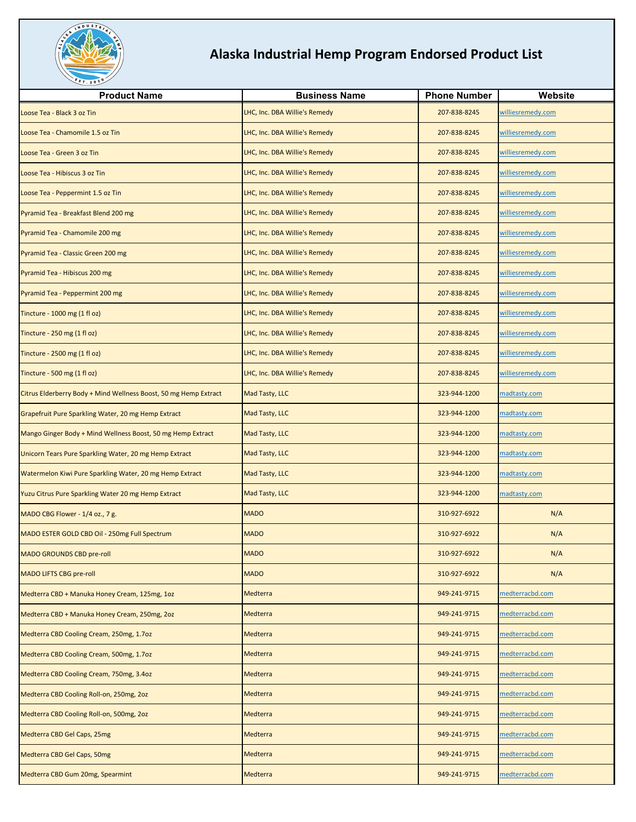

| <b>Product Name</b>                                              | <b>Business Name</b>          | <b>Phone Number</b> | Website           |
|------------------------------------------------------------------|-------------------------------|---------------------|-------------------|
| Loose Tea - Black 3 oz Tin                                       | LHC, Inc. DBA Willie's Remedy | 207-838-8245        | williesremedy.com |
| Loose Tea - Chamomile 1.5 oz Tin                                 | LHC, Inc. DBA Willie's Remedy | 207-838-8245        | williesremedy.com |
| Loose Tea - Green 3 oz Tin                                       | LHC, Inc. DBA Willie's Remedy | 207-838-8245        | williesremedy.com |
| Loose Tea - Hibiscus 3 oz Tin                                    | LHC, Inc. DBA Willie's Remedy | 207-838-8245        | williesremedy.com |
| Loose Tea - Peppermint 1.5 oz Tin                                | LHC, Inc. DBA Willie's Remedy | 207-838-8245        | williesremedy.com |
| Pyramid Tea - Breakfast Blend 200 mg                             | LHC, Inc. DBA Willie's Remedy | 207-838-8245        | williesremedy.com |
| Pyramid Tea - Chamomile 200 mg                                   | LHC, Inc. DBA Willie's Remedy | 207-838-8245        | williesremedy.com |
| Pyramid Tea - Classic Green 200 mg                               | LHC, Inc. DBA Willie's Remedy | 207-838-8245        | williesremedy.com |
| Pyramid Tea - Hibiscus 200 mg                                    | LHC, Inc. DBA Willie's Remedy | 207-838-8245        | williesremedy.com |
| Pyramid Tea - Peppermint 200 mg                                  | LHC, Inc. DBA Willie's Remedy | 207-838-8245        | williesremedy.com |
| Tincture - 1000 mg (1 fl oz)                                     | LHC, Inc. DBA Willie's Remedy | 207-838-8245        | williesremedy.com |
| Tincture - 250 mg (1 fl oz)                                      | LHC, Inc. DBA Willie's Remedy | 207-838-8245        | williesremedy.com |
| Tincture - 2500 mg (1 fl oz)                                     | LHC, Inc. DBA Willie's Remedy | 207-838-8245        | williesremedy.com |
| Tincture - 500 mg (1 fl oz)                                      | LHC, Inc. DBA Willie's Remedy | 207-838-8245        | williesremedy.com |
| Citrus Elderberry Body + Mind Wellness Boost, 50 mg Hemp Extract | Mad Tasty, LLC                | 323-944-1200        | madtasty.com      |
| Grapefruit Pure Sparkling Water, 20 mg Hemp Extract              | Mad Tasty, LLC                | 323-944-1200        | madtasty.com      |
| Mango Ginger Body + Mind Wellness Boost, 50 mg Hemp Extract      | Mad Tasty, LLC                | 323-944-1200        | madtasty.com      |
| Unicorn Tears Pure Sparkling Water, 20 mg Hemp Extract           | Mad Tasty, LLC                | 323-944-1200        | madtasty.com      |
| Watermelon Kiwi Pure Sparkling Water, 20 mg Hemp Extract         | Mad Tasty, LLC                | 323-944-1200        | madtasty.com      |
| Yuzu Citrus Pure Sparkling Water 20 mg Hemp Extract              | Mad Tasty, LLC                | 323-944-1200        | madtasty.com      |
| MADO CBG Flower - 1/4 oz., 7 g.                                  | <b>MADO</b>                   | 310-927-6922        | N/A               |
| MADO ESTER GOLD CBD Oil - 250mg Full Spectrum                    | <b>MADO</b>                   | 310-927-6922        | N/A               |
| <b>MADO GROUNDS CBD pre-roll</b>                                 | <b>MADO</b>                   | 310-927-6922        | N/A               |
| <b>MADO LIFTS CBG pre-roll</b>                                   | <b>MADO</b>                   | 310-927-6922        | N/A               |
| Medterra CBD + Manuka Honey Cream, 125mg, 1oz                    | Medterra                      | 949-241-9715        | medterracbd.com   |
| Medterra CBD + Manuka Honey Cream, 250mg, 2oz                    | Medterra                      | 949-241-9715        | medterracbd.com   |
| Medterra CBD Cooling Cream, 250mg, 1.7oz                         | Medterra                      | 949-241-9715        | medterracbd.com   |
| Medterra CBD Cooling Cream, 500mg, 1.7oz                         | <b>Medterra</b>               | 949-241-9715        | medterracbd.com   |
| Medterra CBD Cooling Cream, 750mg, 3.4oz                         | Medterra                      | 949-241-9715        | medterracbd.com   |
| Medterra CBD Cooling Roll-on, 250mg, 2oz                         | Medterra                      | 949-241-9715        | medterracbd.com   |
| Medterra CBD Cooling Roll-on, 500mg, 2oz                         | Medterra                      | 949-241-9715        | medterracbd.com   |
| Medterra CBD Gel Caps, 25mg                                      | Medterra                      | 949-241-9715        | medterracbd.com   |
| Medterra CBD Gel Caps, 50mg                                      | Medterra                      | 949-241-9715        | medterracbd.com   |
| Medterra CBD Gum 20mg, Spearmint                                 | Medterra                      | 949-241-9715        | medterracbd.com   |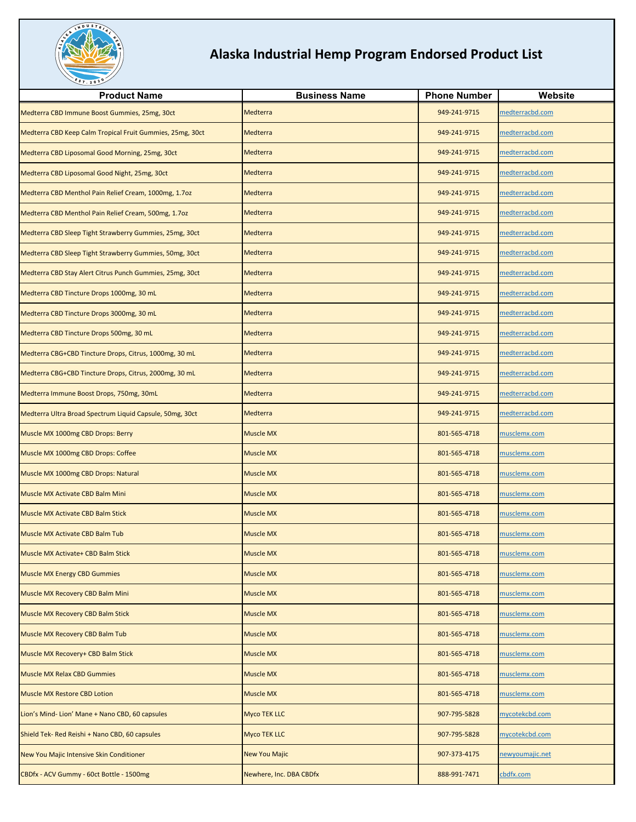

| <b>Product Name</b>                                       | <b>Business Name</b>    | <b>Phone Number</b> | Website             |
|-----------------------------------------------------------|-------------------------|---------------------|---------------------|
| Medterra CBD Immune Boost Gummies, 25mg, 30ct             | Medterra                | 949-241-9715        | medterracbd.com     |
| Medterra CBD Keep Calm Tropical Fruit Gummies, 25mg, 30ct | Medterra                | 949-241-9715        | medterracbd.com     |
| Medterra CBD Liposomal Good Morning, 25mg, 30ct           | Medterra                | 949-241-9715        | medterracbd.com     |
| Medterra CBD Liposomal Good Night, 25mg, 30ct             | Medterra                | 949-241-9715        | medterracbd.com     |
| Medterra CBD Menthol Pain Relief Cream, 1000mg, 1.7oz     | Medterra                | 949-241-9715        | medterracbd.com     |
| Medterra CBD Menthol Pain Relief Cream, 500mg, 1.7oz      | Medterra                | 949-241-9715        | medterracbd.com     |
| Medterra CBD Sleep Tight Strawberry Gummies, 25mg, 30ct   | Medterra                | 949-241-9715        | medterracbd.com     |
| Medterra CBD Sleep Tight Strawberry Gummies, 50mg, 30ct   | Medterra                | 949-241-9715        | medterracbd.com     |
| Medterra CBD Stay Alert Citrus Punch Gummies, 25mg, 30ct  | Medterra                | 949-241-9715        | medterracbd.com     |
| Medterra CBD Tincture Drops 1000mg, 30 mL                 | Medterra                | 949-241-9715        | medterracbd.com     |
| Medterra CBD Tincture Drops 3000mg, 30 mL                 | Medterra                | 949-241-9715        | medterracbd.com     |
| Medterra CBD Tincture Drops 500mg, 30 mL                  | Medterra                | 949-241-9715        | medterracbd.com     |
| Medterra CBG+CBD Tincture Drops, Citrus, 1000mg, 30 mL    | Medterra                | 949-241-9715        | medterracbd.com     |
| Medterra CBG+CBD Tincture Drops, Citrus, 2000mg, 30 mL    | Medterra                | 949-241-9715        | medterracbd.com     |
| Medterra Immune Boost Drops, 750mg, 30mL                  | Medterra                | 949-241-9715        | medterracbd.com     |
| Medterra Ultra Broad Spectrum Liquid Capsule, 50mg, 30ct  | Medterra                | 949-241-9715        | medterracbd.com     |
| Muscle MX 1000mg CBD Drops: Berry                         | <b>Muscle MX</b>        | 801-565-4718        | musclemx.com        |
| Muscle MX 1000mg CBD Drops: Coffee                        | <b>Muscle MX</b>        | 801-565-4718        | musclemx.com        |
| Muscle MX 1000mg CBD Drops: Natural                       | <b>Muscle MX</b>        | 801-565-4718        | musclemx.com        |
| Muscle MX Activate CBD Balm Mini                          | <b>Muscle MX</b>        | 801-565-4718        | musclemx.com        |
| Muscle MX Activate CBD Balm Stick                         | <b>Muscle MX</b>        | 801-565-4718        | musclemx.com        |
| Muscle MX Activate CBD Balm Tub                           | <b>Muscle MX</b>        | 801-565-4718        | nusclemx.com        |
| Muscle MX Activate+ CBD Balm Stick                        | <b>Muscle MX</b>        | 801-565-4718        | <u>musclemx.com</u> |
| <b>Muscle MX Energy CBD Gummies</b>                       | <b>Muscle MX</b>        | 801-565-4718        | musclemx.com        |
| Muscle MX Recovery CBD Balm Mini                          | <b>Muscle MX</b>        | 801-565-4718        | musclemx.com        |
| Muscle MX Recovery CBD Balm Stick                         | <b>Muscle MX</b>        | 801-565-4718        | musclemx.com        |
| Muscle MX Recovery CBD Balm Tub                           | <b>Muscle MX</b>        | 801-565-4718        | musclemx.com        |
| Muscle MX Recovery+ CBD Balm Stick                        | <b>Muscle MX</b>        | 801-565-4718        | musclemx.com        |
| <b>Muscle MX Relax CBD Gummies</b>                        | <b>Muscle MX</b>        | 801-565-4718        | musclemx.com        |
| <b>Muscle MX Restore CBD Lotion</b>                       | Muscle MX               | 801-565-4718        | musclemx.com        |
| Lion's Mind-Lion' Mane + Nano CBD, 60 capsules            | <b>Myco TEK LLC</b>     | 907-795-5828        | mycotekcbd.com      |
| Shield Tek- Red Reishi + Nano CBD, 60 capsules            | <b>Myco TEK LLC</b>     | 907-795-5828        | mycotekcbd.com      |
| New You Majic Intensive Skin Conditioner                  | <b>New You Majic</b>    | 907-373-4175        | newyoumajic.net     |
| CBDfx - ACV Gummy - 60ct Bottle - 1500mg                  | Newhere, Inc. DBA CBDfx | 888-991-7471        | cbdfx.com           |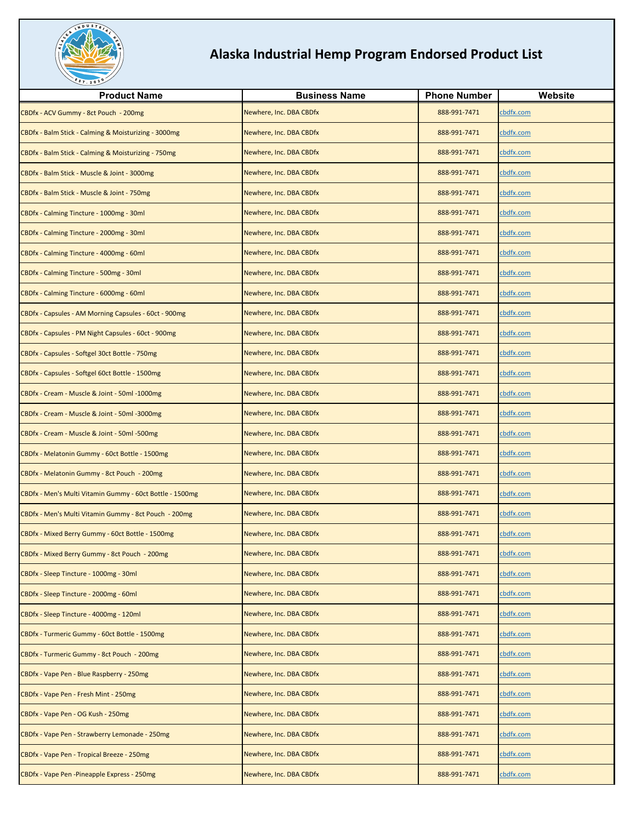

| <b>Product Name</b>                                      | <b>Business Name</b>    | <b>Phone Number</b> | Website          |
|----------------------------------------------------------|-------------------------|---------------------|------------------|
| CBDfx - ACV Gummy - 8ct Pouch - 200mg                    | Newhere, Inc. DBA CBDfx | 888-991-7471        | cbdfx.com        |
| CBDfx - Balm Stick - Calming & Moisturizing - 3000mg     | Newhere, Inc. DBA CBDfx | 888-991-7471        | cbdfx.com        |
| CBDfx - Balm Stick - Calming & Moisturizing - 750mg      | Newhere, Inc. DBA CBDfx | 888-991-7471        | cbdfx.com        |
| CBDfx - Balm Stick - Muscle & Joint - 3000mg             | Newhere, Inc. DBA CBDfx | 888-991-7471        | cbdfx.com        |
| CBDfx - Balm Stick - Muscle & Joint - 750mg              | Newhere, Inc. DBA CBDfx | 888-991-7471        | cbdfx.com        |
| CBDfx - Calming Tincture - 1000mg - 30ml                 | Newhere, Inc. DBA CBDfx | 888-991-7471        | cbdfx.com        |
| CBDfx - Calming Tincture - 2000mg - 30ml                 | Newhere, Inc. DBA CBDfx | 888-991-7471        | cbdfx.com        |
| CBDfx - Calming Tincture - 4000mg - 60ml                 | Newhere, Inc. DBA CBDfx | 888-991-7471        | cbdfx.com        |
| CBDfx - Calming Tincture - 500mg - 30ml                  | Newhere, Inc. DBA CBDfx | 888-991-7471        | cbdfx.com        |
| CBDfx - Calming Tincture - 6000mg - 60ml                 | Newhere, Inc. DBA CBDfx | 888-991-7471        | cbdfx.com        |
| CBDfx - Capsules - AM Morning Capsules - 60ct - 900mg    | Newhere, Inc. DBA CBDfx | 888-991-7471        | cbdfx.com        |
| CBDfx - Capsules - PM Night Capsules - 60ct - 900mg      | Newhere, Inc. DBA CBDfx | 888-991-7471        | cbdfx.com        |
| CBDfx - Capsules - Softgel 30ct Bottle - 750mg           | Newhere, Inc. DBA CBDfx | 888-991-7471        | cbdfx.com        |
| CBDfx - Capsules - Softgel 60ct Bottle - 1500mg          | Newhere, Inc. DBA CBDfx | 888-991-7471        | cbdfx.com        |
| CBDfx - Cream - Muscle & Joint - 50ml -1000mg            | Newhere, Inc. DBA CBDfx | 888-991-7471        | cbdfx.com        |
| CBDfx - Cream - Muscle & Joint - 50ml -3000mg            | Newhere, Inc. DBA CBDfx | 888-991-7471        | cbdfx.com        |
| CBDfx - Cream - Muscle & Joint - 50ml -500mg             | Newhere, Inc. DBA CBDfx | 888-991-7471        | cbdfx.com        |
| CBDfx - Melatonin Gummy - 60ct Bottle - 1500mg           | Newhere, Inc. DBA CBDfx | 888-991-7471        | cbdfx.com        |
| CBDfx - Melatonin Gummy - 8ct Pouch - 200mg              | Newhere, Inc. DBA CBDfx | 888-991-7471        | cbdfx.com        |
| CBDfx - Men's Multi Vitamin Gummy - 60ct Bottle - 1500mg | Newhere, Inc. DBA CBDfx | 888-991-7471        | cbdfx.com        |
| CBDfx - Men's Multi Vitamin Gummy - 8ct Pouch - 200mg    | Newhere, Inc. DBA CBDfx | 888-991-7471        | cbdfx.com        |
| CBDfx - Mixed Berry Gummy - 60ct Bottle - 1500mg         | Newhere, Inc. DBA CBDfx | 888-991-7471        | cbdfx.com        |
| CBDfx - Mixed Berry Gummy - 8ct Pouch - 200mg            | Newhere, Inc. DBA CBDfx | 888-991-7471        | <u>cbdfx.com</u> |
| CBDfx - Sleep Tincture - 1000mg - 30ml                   | Newhere, Inc. DBA CBDfx | 888-991-7471        | cbdfx.com        |
| CBDfx - Sleep Tincture - 2000mg - 60ml                   | Newhere, Inc. DBA CBDfx | 888-991-7471        | cbdfx.com        |
| CBDfx - Sleep Tincture - 4000mg - 120ml                  | Newhere, Inc. DBA CBDfx | 888-991-7471        | cbdfx.com        |
| CBDfx - Turmeric Gummy - 60ct Bottle - 1500mg            | Newhere, Inc. DBA CBDfx | 888-991-7471        | cbdfx.com        |
| CBDfx - Turmeric Gummy - 8ct Pouch - 200mg               | Newhere, Inc. DBA CBDfx | 888-991-7471        | cbdfx.com        |
| CBDfx - Vape Pen - Blue Raspberry - 250mg                | Newhere, Inc. DBA CBDfx | 888-991-7471        | cbdfx.com        |
| CBDfx - Vape Pen - Fresh Mint - 250mg                    | Newhere, Inc. DBA CBDfx | 888-991-7471        | cbdfx.com        |
| CBDfx - Vape Pen - OG Kush - 250mg                       | Newhere, Inc. DBA CBDfx | 888-991-7471        | cbdfx.com        |
| CBDfx - Vape Pen - Strawberry Lemonade - 250mg           | Newhere, Inc. DBA CBDfx | 888-991-7471        | cbdfx.com        |
| CBDfx - Vape Pen - Tropical Breeze - 250mg               | Newhere, Inc. DBA CBDfx | 888-991-7471        | cbdfx.com        |
| CBDfx - Vape Pen - Pineapple Express - 250mg             | Newhere, Inc. DBA CBDfx | 888-991-7471        | cbdfx.com        |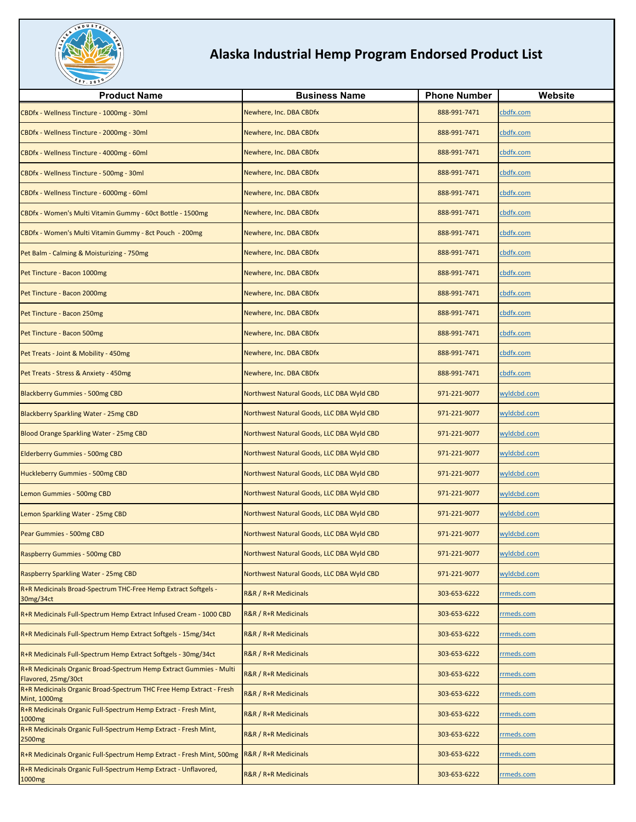

| <b>Product Name</b>                                                                        | <b>Business Name</b>                      | <b>Phone Number</b> | Website            |
|--------------------------------------------------------------------------------------------|-------------------------------------------|---------------------|--------------------|
| CBDfx - Wellness Tincture - 1000mg - 30ml                                                  | Newhere, Inc. DBA CBDfx                   | 888-991-7471        | cbdfx.com          |
| CBDfx - Wellness Tincture - 2000mg - 30ml                                                  | Newhere, Inc. DBA CBDfx                   | 888-991-7471        | cbdfx.com          |
| CBDfx - Wellness Tincture - 4000mg - 60ml                                                  | Newhere, Inc. DBA CBDfx                   | 888-991-7471        | cbdfx.com          |
| CBDfx - Wellness Tincture - 500mg - 30ml                                                   | Newhere, Inc. DBA CBDfx                   | 888-991-7471        | cbdfx.com          |
| CBDfx - Wellness Tincture - 6000mg - 60ml                                                  | Newhere, Inc. DBA CBDfx                   | 888-991-7471        | cbdfx.com          |
| CBDfx - Women's Multi Vitamin Gummy - 60ct Bottle - 1500mg                                 | Newhere, Inc. DBA CBDfx                   | 888-991-7471        | cbdfx.com          |
| CBDfx - Women's Multi Vitamin Gummy - 8ct Pouch - 200mg                                    | Newhere, Inc. DBA CBDfx                   | 888-991-7471        | cbdfx.com          |
| Pet Balm - Calming & Moisturizing - 750mg                                                  | Newhere, Inc. DBA CBDfx                   | 888-991-7471        | cbdfx.com          |
| Pet Tincture - Bacon 1000mg                                                                | Newhere, Inc. DBA CBDfx                   | 888-991-7471        | cbdfx.com          |
| Pet Tincture - Bacon 2000mg                                                                | Newhere, Inc. DBA CBDfx                   | 888-991-7471        | cbdfx.com          |
| Pet Tincture - Bacon 250mg                                                                 | Newhere, Inc. DBA CBDfx                   | 888-991-7471        | cbdfx.com          |
| Pet Tincture - Bacon 500mg                                                                 | Newhere, Inc. DBA CBDfx                   | 888-991-7471        | cbdfx.com          |
| Pet Treats - Joint & Mobility - 450mg                                                      | Newhere, Inc. DBA CBDfx                   | 888-991-7471        | cbdfx.com          |
| Pet Treats - Stress & Anxiety - 450mg                                                      | Newhere, Inc. DBA CBDfx                   | 888-991-7471        | cbdfx.com          |
| <b>Blackberry Gummies - 500mg CBD</b>                                                      | Northwest Natural Goods, LLC DBA Wyld CBD | 971-221-9077        | wyldcbd.com        |
| Blackberry Sparkling Water - 25mg CBD                                                      | Northwest Natural Goods, LLC DBA Wyld CBD | 971-221-9077        | wyldcbd.com        |
| Blood Orange Sparkling Water - 25mg CBD                                                    | Northwest Natural Goods, LLC DBA Wyld CBD | 971-221-9077        | wyldcbd.com        |
| <b>Elderberry Gummies - 500mg CBD</b>                                                      | Northwest Natural Goods, LLC DBA Wyld CBD | 971-221-9077        | wyldcbd.com        |
| Huckleberry Gummies - 500mg CBD                                                            | Northwest Natural Goods, LLC DBA Wyld CBD | 971-221-9077        | wyldcbd.com        |
| Lemon Gummies - 500mg CBD                                                                  | Northwest Natural Goods, LLC DBA Wyld CBD | 971-221-9077        | wyldcbd.com        |
| Lemon Sparkling Water - 25mg CBD                                                           | Northwest Natural Goods, LLC DBA Wyld CBD | 971-221-9077        | wyldcbd.com        |
| Pear Gummies - 500mg CBD                                                                   | Northwest Natural Goods, LLC DBA Wyld CBD | 971-221-9077        | wyldcbd.com        |
| Raspberry Gummies - 500mg CBD                                                              | Northwest Natural Goods, LLC DBA Wyld CBD | 971-221-9077        | <u>wyldcbd.com</u> |
| Raspberry Sparkling Water - 25mg CBD                                                       | Northwest Natural Goods, LLC DBA Wyld CBD | 971-221-9077        | wyldcbd.com        |
| R+R Medicinals Broad-Spectrum THC-Free Hemp Extract Softgels -<br>30mg/34ct                | R&R / R+R Medicinals                      | 303-653-6222        | rmeds.com          |
| R+R Medicinals Full-Spectrum Hemp Extract Infused Cream - 1000 CBD                         | R&R / R+R Medicinals                      | 303-653-6222        | rmeds.com          |
| R+R Medicinals Full-Spectrum Hemp Extract Softgels - 15mg/34ct                             | R&R / R+R Medicinals                      | 303-653-6222        | rmeds.com          |
| R+R Medicinals Full-Spectrum Hemp Extract Softgels - 30mg/34ct                             | R&R / R+R Medicinals                      | 303-653-6222        | rmeds.com          |
| R+R Medicinals Organic Broad-Spectrum Hemp Extract Gummies - Multi<br>Flavored, 25mg/30ct  | R&R / R+R Medicinals                      | 303-653-6222        | rmeds.com          |
| R+R Medicinals Organic Broad-Spectrum THC Free Hemp Extract - Fresh<br><b>Mint, 1000mg</b> | R&R / R+R Medicinals                      | 303-653-6222        | rmeds.com          |
| R+R Medicinals Organic Full-Spectrum Hemp Extract - Fresh Mint,<br>1000 <sub>mg</sub>      | R&R / R+R Medicinals                      | 303-653-6222        | rmeds.com          |
| R+R Medicinals Organic Full-Spectrum Hemp Extract - Fresh Mint,<br>2500 <sub>mg</sub>      | R&R / R+R Medicinals                      | 303-653-6222        | rmeds.com          |
| R+R Medicinals Organic Full-Spectrum Hemp Extract - Fresh Mint, 500mg                      | R&R / R+R Medicinals                      | 303-653-6222        | rmeds.com          |
| R+R Medicinals Organic Full-Spectrum Hemp Extract - Unflavored,<br>1000mg                  | R&R / R+R Medicinals                      | 303-653-6222        | rmeds.com          |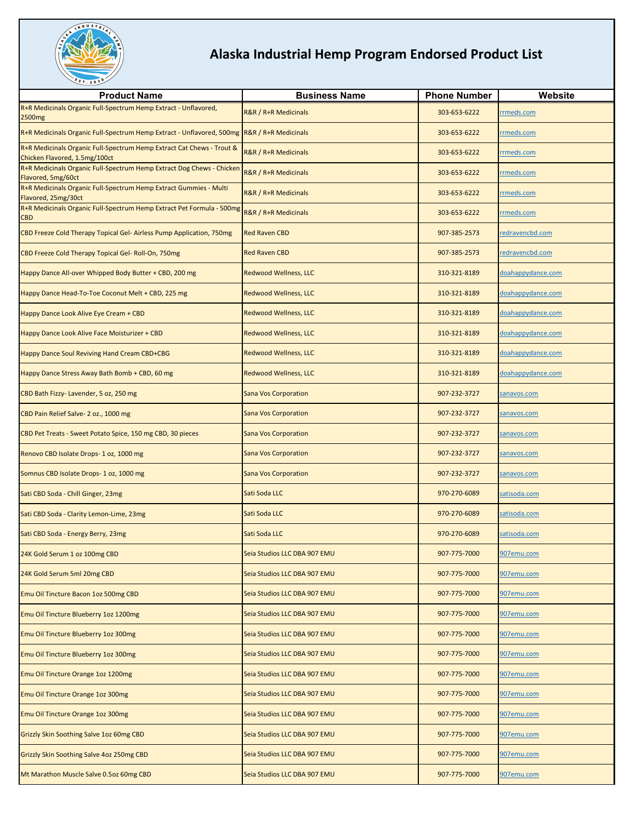

| <b>Product Name</b>                                                                                    | <b>Business Name</b>            | <b>Phone Number</b> | Website           |
|--------------------------------------------------------------------------------------------------------|---------------------------------|---------------------|-------------------|
| R+R Medicinals Organic Full-Spectrum Hemp Extract - Unflavored,<br>2500mg                              | R&R / R+R Medicinals            | 303-653-6222        | rrmeds.com        |
| R+R Medicinals Organic Full-Spectrum Hemp Extract - Unflavored, 500mg R&R / R+R Medicinals             |                                 | 303-653-6222        | rmeds.com         |
| R+R Medicinals Organic Full-Spectrum Hemp Extract Cat Chews - Trout &<br>Chicken Flavored, 1.5mg/100ct | <b>R&amp;R / R+R Medicinals</b> | 303-653-6222        | rmeds.com         |
| R+R Medicinals Organic Full-Spectrum Hemp Extract Dog Chews - Chicken<br>Flavored, 5mg/60ct            | R&R / R+R Medicinals            | 303-653-6222        | rmeds.com         |
| R+R Medicinals Organic Full-Spectrum Hemp Extract Gummies - Multi<br>Flavored, 25mg/30ct               | R&R / R+R Medicinals            | 303-653-6222        | rmeds.com         |
| R+R Medicinals Organic Full-Spectrum Hemp Extract Pet Formula - 500mg<br>$_{\mathsf{CBD}}$             | <b>R&amp;R / R+R Medicinals</b> | 303-653-6222        | rmeds.com         |
| CBD Freeze Cold Therapy Topical Gel- Airless Pump Application, 750mg                                   | <b>Red Raven CBD</b>            | 907-385-2573        | redravencbd.com   |
| CBD Freeze Cold Therapy Topical Gel- Roll-On, 750mg                                                    | <b>Red Raven CBD</b>            | 907-385-2573        | redravencbd.com   |
| Happy Dance All-over Whipped Body Butter + CBD, 200 mg                                                 | <b>Redwood Wellness, LLC</b>    | 310-321-8189        | doahappydance.com |
| Happy Dance Head-To-Toe Coconut Melt + CBD, 225 mg                                                     | <b>Redwood Wellness, LLC</b>    | 310-321-8189        | doahappydance.com |
| Happy Dance Look Alive Eye Cream + CBD                                                                 | <b>Redwood Wellness, LLC</b>    | 310-321-8189        | doahappydance.com |
| Happy Dance Look Alive Face Moisturizer + CBD                                                          | <b>Redwood Wellness, LLC</b>    | 310-321-8189        | doahappydance.com |
| Happy Dance Soul Reviving Hand Cream CBD+CBG                                                           | <b>Redwood Wellness, LLC</b>    | 310-321-8189        | doahappydance.com |
| Happy Dance Stress Away Bath Bomb + CBD, 60 mg                                                         | <b>Redwood Wellness, LLC</b>    | 310-321-8189        | doahappydance.com |
| CBD Bath Fizzy- Lavender, 5 oz, 250 mg                                                                 | <b>Sana Vos Corporation</b>     | 907-232-3727        | sanavos.com       |
| CBD Pain Relief Salve- 2 oz., 1000 mg                                                                  | <b>Sana Vos Corporation</b>     | 907-232-3727        | sanavos.com       |
| CBD Pet Treats - Sweet Potato Spice, 150 mg CBD, 30 pieces                                             | <b>Sana Vos Corporation</b>     | 907-232-3727        | sanavos.com       |
| Renovo CBD Isolate Drops- 1 oz, 1000 mg                                                                | <b>Sana Vos Corporation</b>     | 907-232-3727        | sanavos.com       |
| Somnus CBD Isolate Drops- 1 oz, 1000 mg                                                                | <b>Sana Vos Corporation</b>     | 907-232-3727        | sanavos.com       |
| Sati CBD Soda - Chill Ginger, 23mg                                                                     | Sati Soda LLC                   | 970-270-6089        | satisoda.com      |
| Sati CBD Soda - Clarity Lemon-Lime, 23mg                                                               | Sati Soda LLC                   | 970-270-6089        | satisoda.com      |
| Sati CBD Soda - Energy Berry, 23mg                                                                     | Sati Soda LLC                   | 970-270-6089        | satisoda.com      |
| 24K Gold Serum 1 oz 100mg CBD                                                                          | Seia Studios LLC DBA 907 EMU    | 907-775-7000        | 907emu.com        |
| 24K Gold Serum 5ml 20mg CBD                                                                            | Seia Studios LLC DBA 907 EMU    | 907-775-7000        | 907emu.com        |
| Emu Oil Tincture Bacon 1oz 500mg CBD                                                                   | Seia Studios LLC DBA 907 EMU    | 907-775-7000        | 907emu.com        |
| Emu Oil Tincture Blueberry 1oz 1200mg                                                                  | Seia Studios LLC DBA 907 EMU    | 907-775-7000        | 907emu.com        |
| Emu Oil Tincture Blueberry 1oz 300mg                                                                   | Seia Studios LLC DBA 907 EMU    | 907-775-7000        | 907emu.com        |
| Emu Oil Tincture Blueberry 1oz 300mg                                                                   | Seia Studios LLC DBA 907 EMU    | 907-775-7000        | 907emu.com        |
| Emu Oil Tincture Orange 1oz 1200mg                                                                     | Seia Studios LLC DBA 907 EMU    | 907-775-7000        | 907emu.com        |
| Emu Oil Tincture Orange 1oz 300mg                                                                      | Seia Studios LLC DBA 907 EMU    | 907-775-7000        | 907emu.com        |
| Emu Oil Tincture Orange 1oz 300mg                                                                      | Seia Studios LLC DBA 907 EMU    | 907-775-7000        | 907emu.com        |
| Grizzly Skin Soothing Salve 1oz 60mg CBD                                                               | Seia Studios LLC DBA 907 EMU    | 907-775-7000        | 907emu.com        |
| Grizzly Skin Soothing Salve 4oz 250mg CBD                                                              | Seia Studios LLC DBA 907 EMU    | 907-775-7000        | 907emu.com        |
| Mt Marathon Muscle Salve 0.5oz 60mg CBD                                                                | Seia Studios LLC DBA 907 EMU    | 907-775-7000        | 907emu.com        |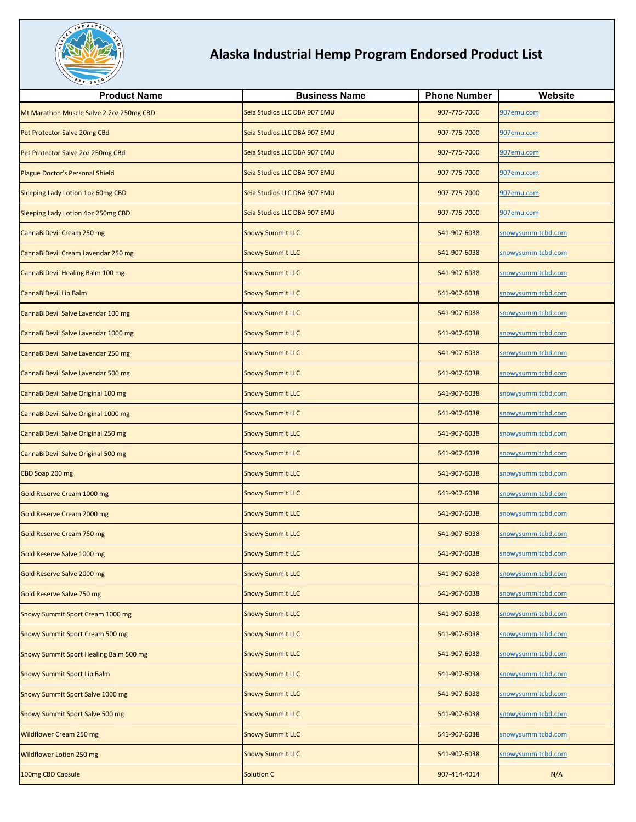

| <b>Product Name</b>                      | <b>Business Name</b>         | <b>Phone Number</b> | Website                   |
|------------------------------------------|------------------------------|---------------------|---------------------------|
| Mt Marathon Muscle Salve 2.2oz 250mg CBD | Seia Studios LLC DBA 907 EMU | 907-775-7000        | 907emu.com                |
| Pet Protector Salve 20mg CBd             | Seia Studios LLC DBA 907 EMU | 907-775-7000        | 907emu.com                |
| Pet Protector Salve 2oz 250mg CBd        | Seia Studios LLC DBA 907 EMU | 907-775-7000        | 907emu.com                |
| Plague Doctor's Personal Shield          | Seia Studios LLC DBA 907 EMU | 907-775-7000        | 907emu.com                |
| <b>Sleeping Lady Lotion 1oz 60mg CBD</b> | Seia Studios LLC DBA 907 EMU | 907-775-7000        | 907emu.com                |
| Sleeping Lady Lotion 4oz 250mg CBD       | Seia Studios LLC DBA 907 EMU | 907-775-7000        | 907emu.com                |
| CannaBiDevil Cream 250 mg                | <b>Snowy Summit LLC</b>      | 541-907-6038        | snowysummitcbd.com        |
| CannaBiDevil Cream Lavendar 250 mg       | <b>Snowy Summit LLC</b>      | 541-907-6038        | snowysummitcbd.com        |
| CannaBiDevil Healing Balm 100 mg         | <b>Snowy Summit LLC</b>      | 541-907-6038        | snowysummitcbd.com        |
| CannaBiDevil Lip Balm                    | <b>Snowy Summit LLC</b>      | 541-907-6038        | snowysummitcbd.com        |
| CannaBiDevil Salve Lavendar 100 mg       | <b>Snowy Summit LLC</b>      | 541-907-6038        | snowysummitcbd.com        |
| CannaBiDevil Salve Lavendar 1000 mg      | <b>Snowy Summit LLC</b>      | 541-907-6038        | snowysummitcbd.com        |
| CannaBiDevil Salve Lavendar 250 mg       | <b>Snowy Summit LLC</b>      | 541-907-6038        | snowysummitcbd.com        |
| CannaBiDevil Salve Lavendar 500 mg       | <b>Snowy Summit LLC</b>      | 541-907-6038        | snowysummitcbd.com        |
| CannaBiDevil Salve Original 100 mg       | <b>Snowy Summit LLC</b>      | 541-907-6038        | snowysummitcbd.com        |
| CannaBiDevil Salve Original 1000 mg      | <b>Snowy Summit LLC</b>      | 541-907-6038        | snowysummitcbd.com        |
| CannaBiDevil Salve Original 250 mg       | <b>Snowy Summit LLC</b>      | 541-907-6038        | snowysummitcbd.com        |
| CannaBiDevil Salve Original 500 mg       | <b>Snowy Summit LLC</b>      | 541-907-6038        | snowysummitcbd.com        |
| CBD Soap 200 mg                          | <b>Snowy Summit LLC</b>      | 541-907-6038        | snowysummitcbd.com        |
| Gold Reserve Cream 1000 mg               | Snowy Summit LLC             | 541-907-6038        | snowysummitcbd.com        |
| Gold Reserve Cream 2000 mg               | <b>Snowy Summit LLC</b>      | 541-907-6038        | snowysummitcbd.com        |
| Gold Reserve Cream 750 mg                | <b>Snowy Summit LLC</b>      | 541-907-6038        | snowysummitcbd.com        |
| Gold Reserve Salve 1000 mg               | <b>Snowy Summit LLC</b>      | 541-907-6038        | <u>snowysummitcbd.com</u> |
| Gold Reserve Salve 2000 mg               | <b>Snowy Summit LLC</b>      | 541-907-6038        | snowysummitcbd.com        |
| Gold Reserve Salve 750 mg                | <b>Snowy Summit LLC</b>      | 541-907-6038        | snowysummitcbd.com        |
| Snowy Summit Sport Cream 1000 mg         | <b>Snowy Summit LLC</b>      | 541-907-6038        | snowysummitcbd.com        |
| Snowy Summit Sport Cream 500 mg          | <b>Snowy Summit LLC</b>      | 541-907-6038        | snowysummitcbd.com        |
| Snowy Summit Sport Healing Balm 500 mg   | <b>Snowy Summit LLC</b>      | 541-907-6038        | snowysummitcbd.com        |
| <b>Snowy Summit Sport Lip Balm</b>       | <b>Snowy Summit LLC</b>      | 541-907-6038        | snowysummitcbd.com        |
| Snowy Summit Sport Salve 1000 mg         | <b>Snowy Summit LLC</b>      | 541-907-6038        | snowysummitcbd.com        |
| Snowy Summit Sport Salve 500 mg          | <b>Snowy Summit LLC</b>      | 541-907-6038        | snowysummitcbd.com        |
| <b>Wildflower Cream 250 mg</b>           | <b>Snowy Summit LLC</b>      | 541-907-6038        | snowysummitcbd.com        |
| Wildflower Lotion 250 mg                 | <b>Snowy Summit LLC</b>      | 541-907-6038        | snowysummitcbd.com        |
| 100mg CBD Capsule                        | <b>Solution C</b>            | 907-414-4014        | N/A                       |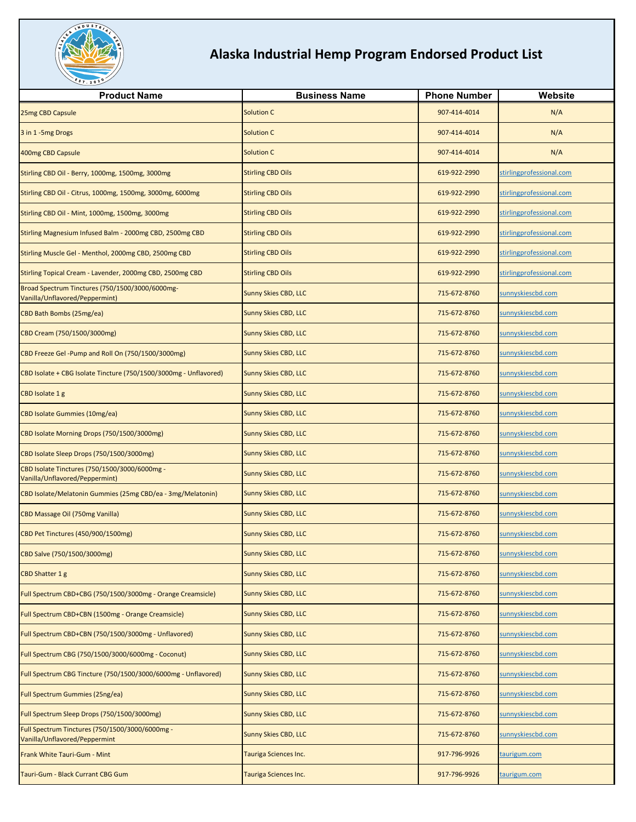

| <b>Product Name</b>                                                               | <b>Business Name</b>        | <b>Phone Number</b> | Website                  |
|-----------------------------------------------------------------------------------|-----------------------------|---------------------|--------------------------|
| 25mg CBD Capsule                                                                  | <b>Solution C</b>           | 907-414-4014        | N/A                      |
| 3 in 1-5mg Drogs                                                                  | <b>Solution C</b>           | 907-414-4014        | N/A                      |
| 400mg CBD Capsule                                                                 | Solution C                  | 907-414-4014        | N/A                      |
| Stirling CBD Oil - Berry, 1000mg, 1500mg, 3000mg                                  | <b>Stirling CBD Oils</b>    | 619-922-2990        | stirlingprofessional.com |
| Stirling CBD Oil - Citrus, 1000mg, 1500mg, 3000mg, 6000mg                         | <b>Stirling CBD Oils</b>    | 619-922-2990        | stirlingprofessional.com |
| Stirling CBD Oil - Mint, 1000mg, 1500mg, 3000mg                                   | <b>Stirling CBD Oils</b>    | 619-922-2990        | stirlingprofessional.com |
| Stirling Magnesium Infused Balm - 2000mg CBD, 2500mg CBD                          | <b>Stirling CBD Oils</b>    | 619-922-2990        | stirlingprofessional.com |
| Stirling Muscle Gel - Menthol, 2000mg CBD, 2500mg CBD                             | <b>Stirling CBD Oils</b>    | 619-922-2990        | stirlingprofessional.com |
| Stirling Topical Cream - Lavender, 2000mg CBD, 2500mg CBD                         | <b>Stirling CBD Oils</b>    | 619-922-2990        | stirlingprofessional.com |
| Broad Spectrum Tinctures (750/1500/3000/6000mg-<br>Vanilla/Unflavored/Peppermint) | <b>Sunny Skies CBD, LLC</b> | 715-672-8760        | sunnyskiescbd.com        |
| CBD Bath Bombs (25mg/ea)                                                          | <b>Sunny Skies CBD, LLC</b> | 715-672-8760        | sunnyskiescbd.com        |
| CBD Cream (750/1500/3000mg)                                                       | <b>Sunny Skies CBD, LLC</b> | 715-672-8760        | sunnyskiescbd.com        |
| CBD Freeze Gel-Pump and Roll On (750/1500/3000mg)                                 | <b>Sunny Skies CBD, LLC</b> | 715-672-8760        | sunnyskiescbd.com        |
| CBD Isolate + CBG Isolate Tincture (750/1500/3000mg - Unflavored)                 | <b>Sunny Skies CBD, LLC</b> | 715-672-8760        | sunnyskiescbd.com        |
| CBD Isolate 1 g                                                                   | <b>Sunny Skies CBD, LLC</b> | 715-672-8760        | sunnyskiescbd.com        |
| CBD Isolate Gummies (10mg/ea)                                                     | <b>Sunny Skies CBD, LLC</b> | 715-672-8760        | sunnyskiescbd.com        |
| CBD Isolate Morning Drops (750/1500/3000mg)                                       | <b>Sunny Skies CBD, LLC</b> | 715-672-8760        | sunnyskiescbd.com        |
| CBD Isolate Sleep Drops (750/1500/3000mg)                                         | Sunny Skies CBD, LLC        | 715-672-8760        | sunnyskiescbd.com        |
| CBD Isolate Tinctures (750/1500/3000/6000mg -<br>Vanilla/Unflavored/Peppermint)   | <b>Sunny Skies CBD, LLC</b> | 715-672-8760        | sunnyskiescbd.com        |
| CBD Isolate/Melatonin Gummies (25mg CBD/ea - 3mg/Melatonin)                       | <b>Sunny Skies CBD, LLC</b> | 715-672-8760        | sunnyskiescbd.com        |
| CBD Massage Oil (750mg Vanilla)                                                   | <b>Sunny Skies CBD, LLC</b> | 715-672-8760        | sunnyskiescbd.com        |
| CBD Pet Tinctures (450/900/1500mg)                                                | Sunny Skies CBD, LLC        | 715-672-8760        | sunnyskiescbd.com        |
| CBD Salve (750/1500/3000mg)                                                       | <b>Sunny Skies CBD, LLC</b> | 715-672-8760        | sunnyskiescbd.com        |
| CBD Shatter 1 g                                                                   | <b>Sunny Skies CBD, LLC</b> | 715-672-8760        | sunnyskiescbd.com        |
| Full Spectrum CBD+CBG (750/1500/3000mg - Orange Creamsicle)                       | Sunny Skies CBD, LLC        | 715-672-8760        | sunnyskiescbd.com        |
| Full Spectrum CBD+CBN (1500mg - Orange Creamsicle)                                | <b>Sunny Skies CBD, LLC</b> | 715-672-8760        | sunnyskiescbd.com        |
| Full Spectrum CBD+CBN (750/1500/3000mg - Unflavored)                              | <b>Sunny Skies CBD, LLC</b> | 715-672-8760        | sunnyskiescbd.com        |
| Full Spectrum CBG (750/1500/3000/6000mg - Coconut)                                | <b>Sunny Skies CBD, LLC</b> | 715-672-8760        | sunnyskiescbd.com        |
| Full Spectrum CBG Tincture (750/1500/3000/6000mg - Unflavored)                    | <b>Sunny Skies CBD, LLC</b> | 715-672-8760        | sunnyskiescbd.com        |
| Full Spectrum Gummies (25ng/ea)                                                   | <b>Sunny Skies CBD, LLC</b> | 715-672-8760        | sunnyskiescbd.com        |
| Full Spectrum Sleep Drops (750/1500/3000mg)                                       | <b>Sunny Skies CBD, LLC</b> | 715-672-8760        | sunnyskiescbd.com        |
| Full Spectrum Tinctures (750/1500/3000/6000mg -<br>Vanilla/Unflavored/Peppermint  | Sunny Skies CBD, LLC        | 715-672-8760        | sunnyskiescbd.com        |
| Frank White Tauri-Gum - Mint                                                      | Tauriga Sciences Inc.       | 917-796-9926        | taurigum.com             |
| Tauri-Gum - Black Currant CBG Gum                                                 | Tauriga Sciences Inc.       | 917-796-9926        | taurigum.com             |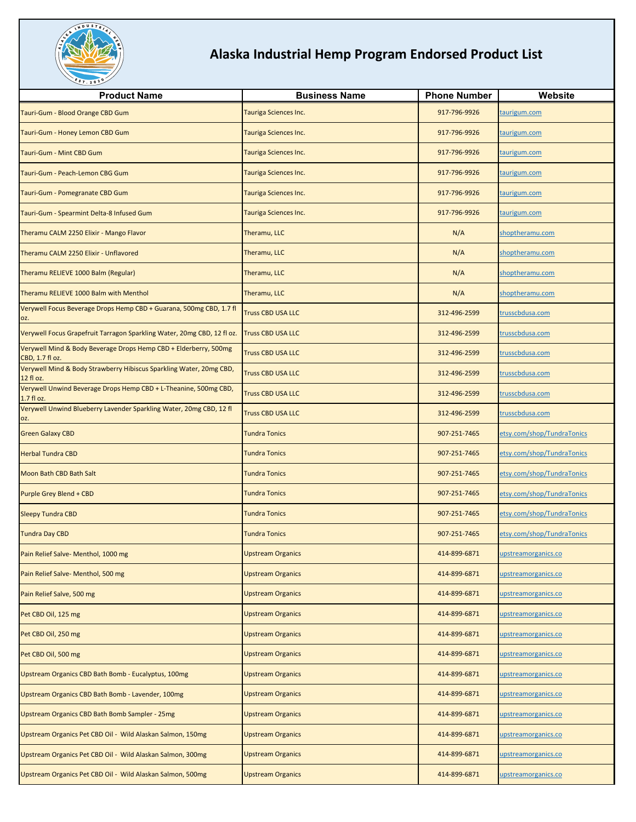

| <b>Product Name</b>                                                                 | <b>Business Name</b>         | <b>Phone Number</b> | Website                    |
|-------------------------------------------------------------------------------------|------------------------------|---------------------|----------------------------|
| Tauri-Gum - Blood Orange CBD Gum                                                    | Tauriga Sciences Inc.        | 917-796-9926        | taurigum.com               |
| Tauri-Gum - Honey Lemon CBD Gum                                                     | Tauriga Sciences Inc.        | 917-796-9926        | taurigum.com               |
| Tauri-Gum - Mint CBD Gum                                                            | Tauriga Sciences Inc.        | 917-796-9926        | taurigum.com               |
| Tauri-Gum - Peach-Lemon CBG Gum                                                     | <b>Tauriga Sciences Inc.</b> | 917-796-9926        | taurigum.com               |
| Tauri-Gum - Pomegranate CBD Gum                                                     | Tauriga Sciences Inc.        | 917-796-9926        | taurigum.com               |
| Tauri-Gum - Spearmint Delta-8 Infused Gum                                           | Tauriga Sciences Inc.        | 917-796-9926        | taurigum.com               |
| Theramu CALM 2250 Elixir - Mango Flavor                                             | Theramu, LLC                 | N/A                 | shoptheramu.com            |
| Theramu CALM 2250 Elixir - Unflavored                                               | Theramu, LLC                 | N/A                 | shoptheramu.com            |
| Theramu RELIEVE 1000 Balm (Regular)                                                 | Theramu, LLC                 | N/A                 | shoptheramu.com            |
| Theramu RELIEVE 1000 Balm with Menthol                                              | Theramu, LLC                 | N/A                 | shoptheramu.com            |
| Verywell Focus Beverage Drops Hemp CBD + Guarana, 500mg CBD, 1.7 fl<br>OZ.          | <b>Truss CBD USA LLC</b>     | 312-496-2599        | crusscbdusa.com            |
| Verywell Focus Grapefruit Tarragon Sparkling Water, 20mg CBD, 12 fl oz.             | <b>Truss CBD USA LLC</b>     | 312-496-2599        | trusscbdusa.com            |
| Verywell Mind & Body Beverage Drops Hemp CBD + Elderberry, 500mg<br>CBD, 1.7 fl oz. | <b>Truss CBD USA LLC</b>     | 312-496-2599        | trusscbdusa.com            |
| Verywell Mind & Body Strawberry Hibiscus Sparkling Water, 20mg CBD,<br>12 fl oz.    | <b>Truss CBD USA LLC</b>     | 312-496-2599        | trusscbdusa.com            |
| Verywell Unwind Beverage Drops Hemp CBD + L-Theanine, 500mg CBD,<br>1.7 fl oz.      | <b>Truss CBD USA LLC</b>     | 312-496-2599        | trusscbdusa.com            |
| Verywell Unwind Blueberry Lavender Sparkling Water, 20mg CBD, 12 fl<br>OZ.          | <b>Truss CBD USA LLC</b>     | 312-496-2599        | trusscbdusa.com            |
| <b>Green Galaxy CBD</b>                                                             | <b>Tundra Tonics</b>         | 907-251-7465        | etsy.com/shop/TundraTonics |
| <b>Herbal Tundra CBD</b>                                                            | <b>Tundra Tonics</b>         | 907-251-7465        | etsy.com/shop/TundraTonics |
| <b>Moon Bath CBD Bath Salt</b>                                                      | <b>Tundra Tonics</b>         | 907-251-7465        | etsy.com/shop/TundraTonics |
| Purple Grey Blend + CBD                                                             | <b>Tundra Tonics</b>         | 907-251-7465        | etsy.com/shop/TundraTonics |
| <b>Sleepy Tundra CBD</b>                                                            | <b>Tundra Tonics</b>         | 907-251-7465        | etsy.com/shop/TundraTonics |
| <b>Tundra Day CBD</b>                                                               | <b>Tundra Tonics</b>         | 907-251-7465        | etsy.com/shop/TundraTonics |
| Pain Relief Salve- Menthol, 1000 mg                                                 | <b>Upstream Organics</b>     | 414-899-6871        | upstreamorganics.co        |
| Pain Relief Salve- Menthol, 500 mg                                                  | <b>Upstream Organics</b>     | 414-899-6871        | upstreamorganics.co        |
| Pain Relief Salve, 500 mg                                                           | <b>Upstream Organics</b>     | 414-899-6871        | upstreamorganics.co        |
| Pet CBD Oil, 125 mg                                                                 | <b>Upstream Organics</b>     | 414-899-6871        | upstreamorganics.co        |
| Pet CBD Oil, 250 mg                                                                 | <b>Upstream Organics</b>     | 414-899-6871        | upstreamorganics.co        |
| Pet CBD Oil, 500 mg                                                                 | <b>Upstream Organics</b>     | 414-899-6871        | upstreamorganics.co        |
| Upstream Organics CBD Bath Bomb - Eucalyptus, 100mg                                 | <b>Upstream Organics</b>     | 414-899-6871        | upstreamorganics.co        |
| Upstream Organics CBD Bath Bomb - Lavender, 100mg                                   | <b>Upstream Organics</b>     | 414-899-6871        | upstreamorganics.co        |
| Upstream Organics CBD Bath Bomb Sampler - 25mg                                      | <b>Upstream Organics</b>     | 414-899-6871        | upstreamorganics.co        |
| Upstream Organics Pet CBD Oil - Wild Alaskan Salmon, 150mg                          | <b>Upstream Organics</b>     | 414-899-6871        | upstreamorganics.co        |
| Upstream Organics Pet CBD Oil - Wild Alaskan Salmon, 300mg                          | <b>Upstream Organics</b>     | 414-899-6871        | upstreamorganics.co        |
| Upstream Organics Pet CBD Oil - Wild Alaskan Salmon, 500mg                          | <b>Upstream Organics</b>     | 414-899-6871        | upstreamorganics.co        |